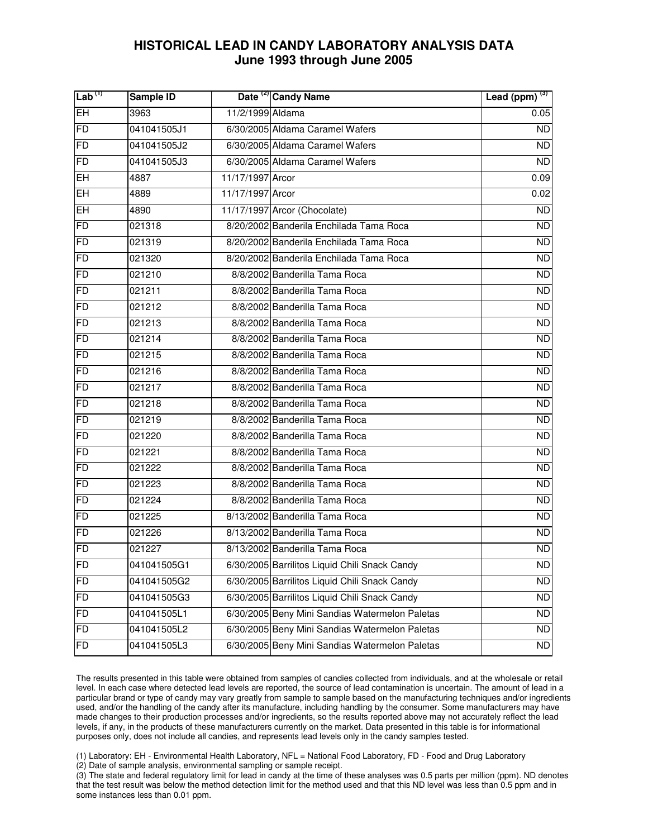| $\mathsf{Lab}^{(1)}$ | Sample ID   |                  | Date <sup>(2)</sup> Candy Name                 | Lead (ppm) $(3)$ |
|----------------------|-------------|------------------|------------------------------------------------|------------------|
| <b>EH</b>            | 3963        | 11/2/1999 Aldama |                                                | 0.05             |
| FD                   | 041041505J1 |                  | 6/30/2005 Aldama Caramel Wafers                | <b>ND</b>        |
| FD                   | 041041505J2 |                  | 6/30/2005 Aldama Caramel Wafers                | <b>ND</b>        |
| FD                   | 041041505J3 |                  | 6/30/2005 Aldama Caramel Wafers                | <b>ND</b>        |
| EH                   | 4887        | 11/17/1997 Arcor |                                                | 0.09             |
| EH                   | 4889        | 11/17/1997 Arcor |                                                | 0.02             |
| EH                   | 4890        |                  | 11/17/1997 Arcor (Chocolate)                   | <b>ND</b>        |
| FD                   | 021318      |                  | 8/20/2002 Banderila Enchilada Tama Roca        | <b>ND</b>        |
| FD                   | 021319      |                  | 8/20/2002 Banderila Enchilada Tama Roca        | <b>ND</b>        |
| FD                   | 021320      |                  | 8/20/2002 Banderila Enchilada Tama Roca        | <b>ND</b>        |
| FD                   | 021210      |                  | 8/8/2002 Banderilla Tama Roca                  | <b>ND</b>        |
| FD                   | 021211      |                  | 8/8/2002 Banderilla Tama Roca                  | $\overline{ND}$  |
| FD                   | 021212      |                  | 8/8/2002 Banderilla Tama Roca                  | <b>ND</b>        |
| FD                   | 021213      |                  | 8/8/2002 Banderilla Tama Roca                  | <b>ND</b>        |
| FD                   | 021214      |                  | 8/8/2002 Banderilla Tama Roca                  | <b>ND</b>        |
| FD                   | 021215      |                  | 8/8/2002 Banderilla Tama Roca                  | <b>ND</b>        |
| <b>FD</b>            | 021216      |                  | 8/8/2002 Banderilla Tama Roca                  | <b>ND</b>        |
| FD                   | 021217      |                  | 8/8/2002 Banderilla Tama Roca                  | <b>ND</b>        |
| <b>FD</b>            | 021218      |                  | 8/8/2002 Banderilla Tama Roca                  | <b>ND</b>        |
| FD                   | 021219      |                  | 8/8/2002 Banderilla Tama Roca                  | <b>ND</b>        |
| <b>FD</b>            | 021220      |                  | 8/8/2002 Banderilla Tama Roca                  | <b>ND</b>        |
| FD                   | 021221      |                  | 8/8/2002 Banderilla Tama Roca                  | ND.              |
| FD                   | 021222      |                  | 8/8/2002 Banderilla Tama Roca                  | $\overline{ND}$  |
| FD                   | 021223      |                  | 8/8/2002 Banderilla Tama Roca                  | <b>ND</b>        |
| <b>FD</b>            | 021224      |                  | 8/8/2002 Banderilla Tama Roca                  | <b>ND</b>        |
| FD                   | 021225      |                  | 8/13/2002 Banderilla Tama Roca                 | <b>ND</b>        |
| FD                   | 021226      |                  | 8/13/2002 Banderilla Tama Roca                 | <b>ND</b>        |
| FD                   | 021227      |                  | 8/13/2002 Banderilla Tama Roca                 | <b>ND</b>        |
| <b>FD</b>            | 041041505G1 |                  | 6/30/2005 Barrilitos Liquid Chili Snack Candy  | <b>ND</b>        |
| <b>FD</b>            | 041041505G2 |                  | 6/30/2005 Barrilitos Liquid Chili Snack Candy  | ND               |
| <b>FD</b>            | 041041505G3 |                  | 6/30/2005 Barrilitos Liquid Chili Snack Candy  | <b>ND</b>        |
| <b>FD</b>            | 041041505L1 |                  | 6/30/2005 Beny Mini Sandias Watermelon Paletas | <b>ND</b>        |
| <b>FD</b>            | 041041505L2 |                  | 6/30/2005 Beny Mini Sandias Watermelon Paletas | <b>ND</b>        |
| <b>FD</b>            | 041041505L3 |                  | 6/30/2005 Beny Mini Sandias Watermelon Paletas | <b>ND</b>        |

 The results presented in this table were obtained from samples of candies collected from individuals, and at the wholesale or retail level. In each case where detected lead levels are reported, the source of lead contamination is uncertain. The amount of lead in a particular brand or type of candy may vary greatly from sample to sample based on the manufacturing techniques and/or ingredients used, and/or the handling of the candy after its manufacture, including handling by the consumer. Some manufacturers may have made changes to their production processes and/or ingredients, so the results reported above may not accurately reflect the lead levels, if any, in the products of these manufacturers currently on the market. Data presented in this table is for informational purposes only, does not include all candies, and represents lead levels only in the candy samples tested.

(1) Laboratory: EH - Environmental Health Laboratory, NFL = National Food Laboratory, FD - Food and Drug Laboratory

(2) Date of sample analysis, environmental sampling or sample receipt.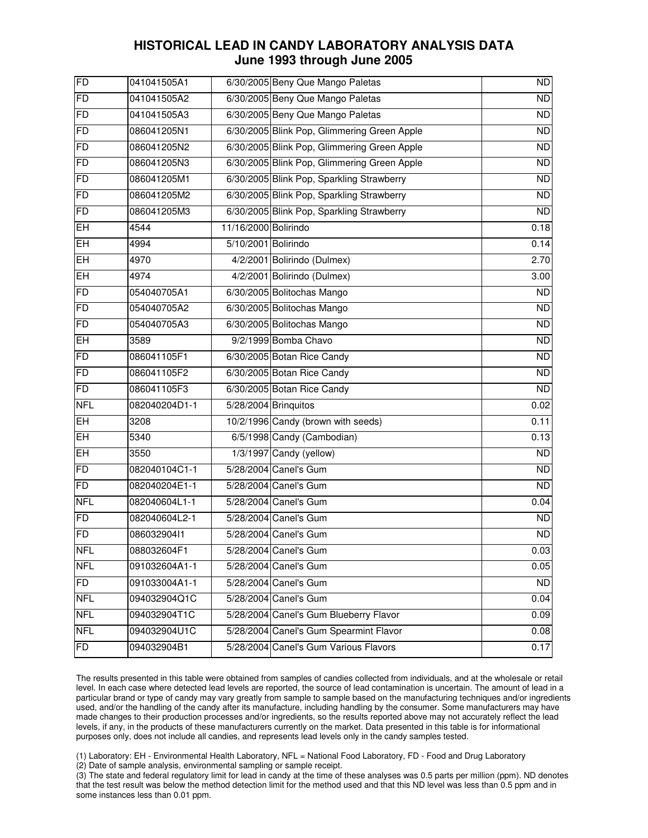| FD             | 041041505A1   |                      | 6/30/2005 Beny Que Mango Paletas            | <b>ND</b>       |
|----------------|---------------|----------------------|---------------------------------------------|-----------------|
| <b>FD</b>      | 041041505A2   |                      | 6/30/2005 Beny Que Mango Paletas            | $\overline{ND}$ |
| <b>FD</b>      | 041041505A3   |                      | 6/30/2005 Beny Que Mango Paletas            | <b>ND</b>       |
| <b>FD</b>      | 086041205N1   |                      | 6/30/2005 Blink Pop, Glimmering Green Apple | ND              |
| <b>FD</b>      | 086041205N2   |                      | 6/30/2005 Blink Pop, Glimmering Green Apple | <b>ND</b>       |
| <b>FD</b>      | 086041205N3   |                      | 6/30/2005 Blink Pop, Glimmering Green Apple | $\overline{ND}$ |
| <b>FD</b>      | 086041205M1   |                      | 6/30/2005 Blink Pop, Sparkling Strawberry   | <b>ND</b>       |
| <b>FD</b>      | 086041205M2   |                      | 6/30/2005 Blink Pop, Sparkling Strawberry   | $\overline{ND}$ |
| <b>FD</b>      | 086041205M3   |                      | 6/30/2005 Blink Pop, Sparkling Strawberry   | <b>ND</b>       |
| EH             | 4544          | 11/16/2000 Bolirindo |                                             | 0.18            |
| EH             | 4994          | 5/10/2001 Bolirindo  |                                             | 0.14            |
| EH             | 4970          |                      | 4/2/2001 Bolirindo (Dulmex)                 | 2.70            |
| EH             | 4974          |                      | 4/2/2001 Bolirindo (Dulmex)                 | 3.00            |
| <b>FD</b>      | 054040705A1   |                      | 6/30/2005 Bolitochas Mango                  | <b>ND</b>       |
| <b>FD</b>      | 054040705A2   |                      | 6/30/2005 Bolitochas Mango                  | <b>ND</b>       |
| <b>FD</b>      | 054040705A3   |                      | 6/30/2005 Bolitochas Mango                  | <b>ND</b>       |
| EH             | 3589          |                      | 9/2/1999 Bomba Chavo                        | <b>ND</b>       |
| <b>FD</b>      | 086041105F1   |                      | 6/30/2005 Botan Rice Candy                  | <b>ND</b>       |
| <b>FD</b>      | 086041105F2   |                      | 6/30/2005 Botan Rice Candy                  | ND              |
| <b>FD</b>      | 086041105F3   |                      | 6/30/2005 Botan Rice Candy                  | <b>ND</b>       |
| <b>NFL</b>     | 082040204D1-1 |                      | 5/28/2004 Brinquitos                        | 0.02            |
| EH             | 3208          |                      | 10/2/1996 Candy (brown with seeds)          | 0.11            |
| EH             | 5340          |                      | 6/5/1998 Candy (Cambodian)                  | 0.13            |
| EH             | 3550          |                      | $1/3/1997$ Candy (yellow)                   | <b>ND</b>       |
| <b>FD</b>      | 082040104C1-1 |                      | 5/28/2004 Canel's Gum                       | <b>ND</b>       |
| F <sub>D</sub> | 082040204E1-1 |                      | 5/28/2004 Canel's Gum                       | <b>ND</b>       |
| <b>NFL</b>     | 082040604L1-1 |                      | 5/28/2004 Canel's Gum                       | 0.04            |
| FD             | 082040604L2-1 |                      | 5/28/2004 Canel's Gum                       | <b>ND</b>       |
| <b>FD</b>      | 08603290411   |                      | 5/28/2004 Canel's Gum                       | <b>ND</b>       |
| <b>NFL</b>     | 088032604F1   |                      | 5/28/2004 Canel's Gum                       | 0.03            |
| <b>NFL</b>     | 091032604A1-1 |                      | 5/28/2004 Canel's Gum                       | 0.05            |
| FD             | 091033004A1-1 |                      | 5/28/2004 Canel's Gum                       | <b>ND</b>       |
| <b>NFL</b>     | 094032904Q1C  |                      | 5/28/2004 Canel's Gum                       | 0.04            |
| <b>NFL</b>     | 094032904T1C  |                      | 5/28/2004 Canel's Gum Blueberry Flavor      | 0.09            |
| <b>NFL</b>     | 094032904U1C  |                      | 5/28/2004 Canel's Gum Spearmint Flavor      | 0.08            |
| <b>FD</b>      | 094032904B1   |                      | 5/28/2004 Canel's Gum Various Flavors       | 0.17            |

 The results presented in this table were obtained from samples of candies collected from individuals, and at the wholesale or retail level. In each case where detected lead levels are reported, the source of lead contamination is uncertain. The amount of lead in a particular brand or type of candy may vary greatly from sample to sample based on the manufacturing techniques and/or ingredients used, and/or the handling of the candy after its manufacture, including handling by the consumer. Some manufacturers may have made changes to their production processes and/or ingredients, so the results reported above may not accurately reflect the lead levels, if any, in the products of these manufacturers currently on the market. Data presented in this table is for informational purposes only, does not include all candies, and represents lead levels only in the candy samples tested.

(1) Laboratory: EH - Environmental Health Laboratory, NFL = National Food Laboratory, FD - Food and Drug Laboratory

(2) Date of sample analysis, environmental sampling or sample receipt.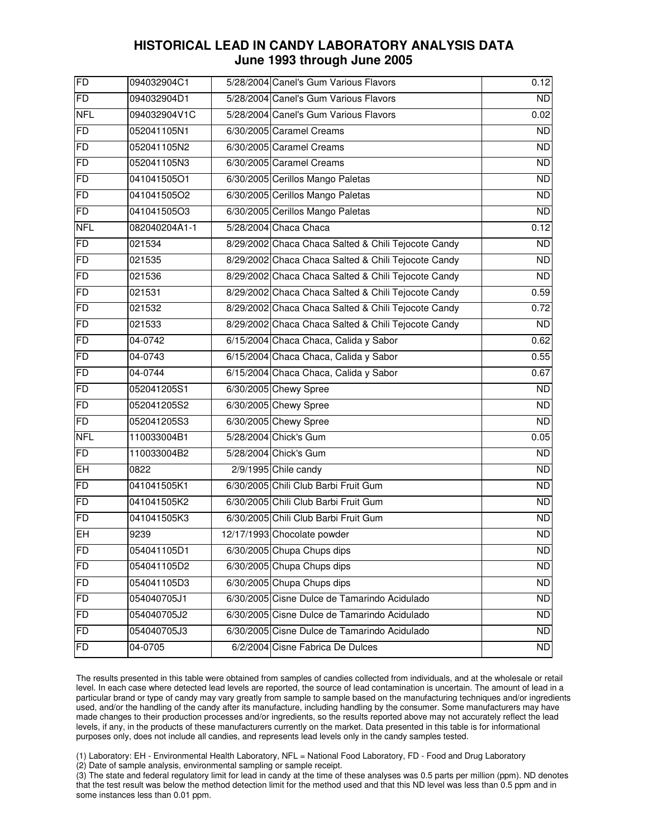| FD         | 094032904C1   | 5/28/2004 Canel's Gum Various Flavors               | 0.12            |
|------------|---------------|-----------------------------------------------------|-----------------|
| FD         | 094032904D1   | 5/28/2004 Canel's Gum Various Flavors               | ND              |
| <b>NFL</b> | 094032904V1C  | 5/28/2004 Canel's Gum Various Flavors               | 0.02            |
| <b>FD</b>  | 052041105N1   | 6/30/2005 Caramel Creams                            | $\overline{ND}$ |
| <b>FD</b>  | 052041105N2   | 6/30/2005 Caramel Creams                            | <b>ND</b>       |
| <b>FD</b>  | 052041105N3   | 6/30/2005 Caramel Creams                            | $\overline{ND}$ |
| <b>FD</b>  | 041041505O1   | 6/30/2005 Cerillos Mango Paletas                    | <b>ND</b>       |
| <b>FD</b>  | 041041505O2   | 6/30/2005 Cerillos Mango Paletas                    | $\overline{ND}$ |
| <b>FD</b>  | 041041505O3   | 6/30/2005 Cerillos Mango Paletas                    | <b>ND</b>       |
| <b>NFL</b> | 082040204A1-1 | 5/28/2004 Chaca Chaca                               | 0.12            |
| <b>FD</b>  | 021534        | 8/29/2002 Chaca Chaca Salted & Chili Tejocote Candy | <b>ND</b>       |
| FD         | 021535        | 8/29/2002 Chaca Chaca Salted & Chili Tejocote Candy | <b>ND</b>       |
| <b>FD</b>  | 021536        | 8/29/2002 Chaca Chaca Salted & Chili Tejocote Candy | ND              |
| <b>FD</b>  | 021531        | 8/29/2002 Chaca Chaca Salted & Chili Tejocote Candy | 0.59            |
| <b>FD</b>  | 021532        | 8/29/2002 Chaca Chaca Salted & Chili Tejocote Candy | 0.72            |
| <b>FD</b>  | 021533        | 8/29/2002 Chaca Chaca Salted & Chili Tejocote Candy | <b>ND</b>       |
| <b>FD</b>  | 04-0742       | 6/15/2004 Chaca Chaca, Calida y Sabor               | 0.62            |
| <b>FD</b>  | 04-0743       | 6/15/2004 Chaca Chaca, Calida y Sabor               | 0.55            |
| <b>FD</b>  | 04-0744       | 6/15/2004 Chaca Chaca, Calida y Sabor               | 0.67            |
| <b>FD</b>  | 052041205S1   | 6/30/2005 Chewy Spree                               | <b>ND</b>       |
| FD         | 052041205S2   | 6/30/2005 Chewy Spree                               | <b>ND</b>       |
| <b>FD</b>  | 052041205S3   | 6/30/2005 Chewy Spree                               | <b>ND</b>       |
| <b>NFL</b> | 110033004B1   | 5/28/2004 Chick's Gum                               | 0.05            |
| <b>FD</b>  | 110033004B2   | 5/28/2004 Chick's Gum                               | <b>ND</b>       |
| $E$ H      | 0822          | 2/9/1995 Chile candy                                | $\overline{ND}$ |
| <b>FD</b>  | 041041505K1   | 6/30/2005 Chili Club Barbi Fruit Gum                | <b>ND</b>       |
| <b>FD</b>  | 041041505K2   | 6/30/2005 Chili Club Barbi Fruit Gum                | <b>ND</b>       |
| FD         | 041041505K3   | 6/30/2005 Chili Club Barbi Fruit Gum                | $\overline{ND}$ |
| EH         | 9239          | 12/17/1993 Chocolate powder                         | $\overline{ND}$ |
| FD         | 054041105D1   | 6/30/2005 Chupa Chups dips                          | ND              |
| <b>FD</b>  | 054041105D2   | 6/30/2005 Chupa Chups dips                          | <b>ND</b>       |
| FD         | 054041105D3   | 6/30/2005 Chupa Chups dips                          | <b>ND</b>       |
| <b>FD</b>  | 054040705J1   | 6/30/2005 Cisne Dulce de Tamarindo Acidulado        | <b>ND</b>       |
| <b>FD</b>  | 054040705J2   | 6/30/2005 Cisne Dulce de Tamarindo Acidulado        | <b>ND</b>       |
| <b>FD</b>  | 054040705J3   | 6/30/2005 Cisne Dulce de Tamarindo Acidulado        | <b>ND</b>       |
| <b>FD</b>  | 04-0705       | 6/2/2004 Cisne Fabrica De Dulces                    | <b>ND</b>       |

 The results presented in this table were obtained from samples of candies collected from individuals, and at the wholesale or retail level. In each case where detected lead levels are reported, the source of lead contamination is uncertain. The amount of lead in a particular brand or type of candy may vary greatly from sample to sample based on the manufacturing techniques and/or ingredients used, and/or the handling of the candy after its manufacture, including handling by the consumer. Some manufacturers may have made changes to their production processes and/or ingredients, so the results reported above may not accurately reflect the lead levels, if any, in the products of these manufacturers currently on the market. Data presented in this table is for informational purposes only, does not include all candies, and represents lead levels only in the candy samples tested.

(1) Laboratory: EH - Environmental Health Laboratory, NFL = National Food Laboratory, FD - Food and Drug Laboratory

(2) Date of sample analysis, environmental sampling or sample receipt.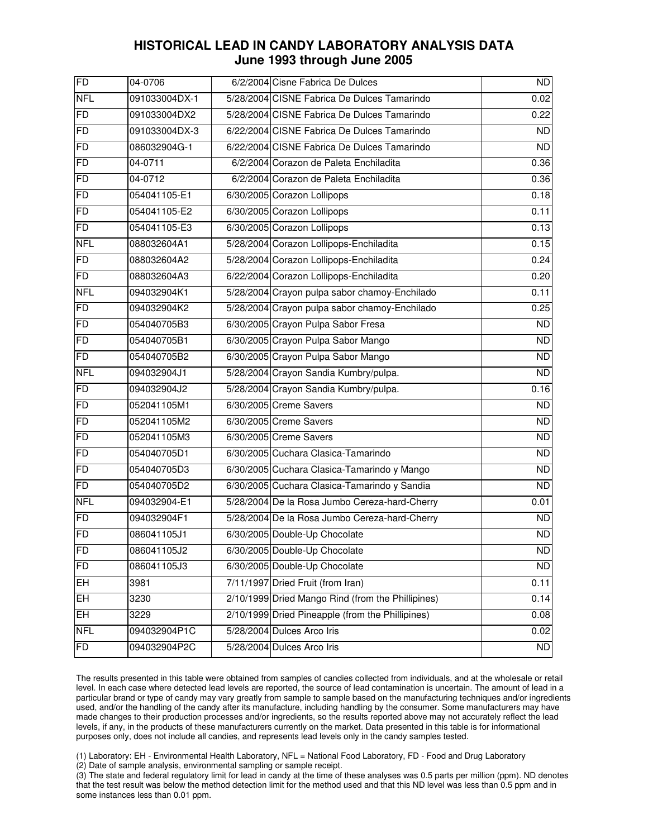| FD              | 04-0706       | 6/2/2004 Cisne Fabrica De Dulces                  | <b>ND</b>       |
|-----------------|---------------|---------------------------------------------------|-----------------|
| <b>NFL</b>      | 091033004DX-1 | 5/28/2004 CISNE Fabrica De Dulces Tamarindo       | 0.02            |
| <b>FD</b>       | 091033004DX2  | 5/28/2004 CISNE Fabrica De Dulces Tamarindo       | 0.22            |
| <b>FD</b>       | 091033004DX-3 | 6/22/2004 CISNE Fabrica De Dulces Tamarindo       | <b>ND</b>       |
| <b>FD</b>       | 086032904G-1  | 6/22/2004 CISNE Fabrica De Dulces Tamarindo       | $\overline{ND}$ |
| <b>FD</b>       | 04-0711       | 6/2/2004 Corazon de Paleta Enchiladita            | 0.36            |
| <b>FD</b>       | 04-0712       | 6/2/2004 Corazon de Paleta Enchiladita            | 0.36            |
| <b>FD</b>       | 054041105-E1  | 6/30/2005 Corazon Lollipops                       | 0.18            |
| <b>FD</b>       | 054041105-E2  | 6/30/2005 Corazon Lollipops                       | 0.11            |
| <b>FD</b>       | 054041105-E3  | 6/30/2005 Corazon Lollipops                       | 0.13            |
| <b>NFL</b>      | 088032604A1   | 5/28/2004 Corazon Lollipops-Enchiladita           | 0.15            |
| <b>FD</b>       | 088032604A2   | 5/28/2004 Corazon Lollipops-Enchiladita           | 0.24            |
| FD              | 088032604A3   | 6/22/2004 Corazon Lollipops-Enchiladita           | 0.20            |
| <b>NFL</b>      | 094032904K1   | 5/28/2004 Crayon pulpa sabor chamoy-Enchilado     | 0.11            |
| $\overline{FD}$ | 094032904K2   | 5/28/2004 Crayon pulpa sabor chamoy-Enchilado     | 0.25            |
| <b>FD</b>       | 054040705B3   | 6/30/2005 Crayon Pulpa Sabor Fresa                | <b>ND</b>       |
| <b>FD</b>       | 054040705B1   | 6/30/2005 Crayon Pulpa Sabor Mango                | ND              |
| <b>FD</b>       | 054040705B2   | 6/30/2005 Crayon Pulpa Sabor Mango                | <b>ND</b>       |
| <b>NFL</b>      | 094032904J1   | 5/28/2004 Crayon Sandia Kumbry/pulpa.             | $\overline{ND}$ |
| <b>FD</b>       | 094032904J2   | 5/28/2004 Crayon Sandia Kumbry/pulpa.             | 0.16            |
| <b>FD</b>       | 052041105M1   | 6/30/2005 Creme Savers                            | <b>ND</b>       |
| <b>FD</b>       | 052041105M2   | 6/30/2005 Creme Savers                            | <b>ND</b>       |
| FD              | 052041105M3   | 6/30/2005 Creme Savers                            | <b>ND</b>       |
| <b>FD</b>       | 054040705D1   | 6/30/2005 Cuchara Clasica-Tamarindo               | <b>ND</b>       |
| <b>FD</b>       | 054040705D3   | 6/30/2005 Cuchara Clasica-Tamarindo y Mango       | ND              |
| <b>FD</b>       | 054040705D2   | 6/30/2005 Cuchara Clasica-Tamarindo y Sandia      | <b>ND</b>       |
| <b>NFL</b>      | 094032904-E1  | 5/28/2004 De la Rosa Jumbo Cereza-hard-Cherry     | 0.01            |
| FD              | 094032904F1   | 5/28/2004 De la Rosa Jumbo Cereza-hard-Cherry     | <b>ND</b>       |
| <b>FD</b>       | 086041105J1   | 6/30/2005 Double-Up Chocolate                     | $\overline{ND}$ |
| <b>FD</b>       | 086041105J2   | 6/30/2005 Double-Up Chocolate                     | <b>ND</b>       |
| <b>FD</b>       | 086041105J3   | 6/30/2005 Double-Up Chocolate                     | <b>ND</b>       |
| EH              | 3981          | 7/11/1997 Dried Fruit (from Iran)                 | 0.11            |
| <b>EH</b>       | 3230          | 2/10/1999 Dried Mango Rind (from the Phillipines) | 0.14            |
| EH              | 3229          | 2/10/1999 Dried Pineapple (from the Phillipines)  | 0.08            |
| <b>NFL</b>      | 094032904P1C  | 5/28/2004 Dulces Arco Iris                        | 0.02            |
| FD              | 094032904P2C  | 5/28/2004 Dulces Arco Iris                        | <b>ND</b>       |

 The results presented in this table were obtained from samples of candies collected from individuals, and at the wholesale or retail level. In each case where detected lead levels are reported, the source of lead contamination is uncertain. The amount of lead in a particular brand or type of candy may vary greatly from sample to sample based on the manufacturing techniques and/or ingredients used, and/or the handling of the candy after its manufacture, including handling by the consumer. Some manufacturers may have made changes to their production processes and/or ingredients, so the results reported above may not accurately reflect the lead levels, if any, in the products of these manufacturers currently on the market. Data presented in this table is for informational purposes only, does not include all candies, and represents lead levels only in the candy samples tested.

(1) Laboratory: EH - Environmental Health Laboratory, NFL = National Food Laboratory, FD - Food and Drug Laboratory

(2) Date of sample analysis, environmental sampling or sample receipt.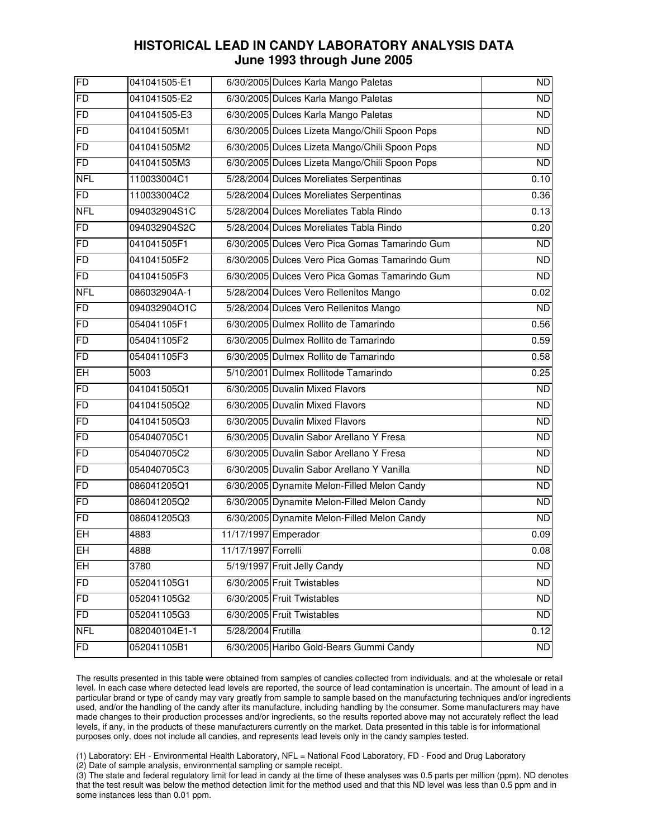| FD         | 041041505-E1  |                     | 6/30/2005 Dulces Karla Mango Paletas           | <b>ND</b>       |
|------------|---------------|---------------------|------------------------------------------------|-----------------|
| FD         | 041041505-E2  |                     | 6/30/2005 Dulces Karla Mango Paletas           | ND              |
| FD         | 041041505-E3  |                     | 6/30/2005 Dulces Karla Mango Paletas           | <b>ND</b>       |
| <b>FD</b>  | 041041505M1   |                     | 6/30/2005 Dulces Lizeta Mango/Chili Spoon Pops | $\overline{ND}$ |
| <b>FD</b>  | 041041505M2   |                     | 6/30/2005 Dulces Lizeta Mango/Chili Spoon Pops | <b>ND</b>       |
| FD         | 041041505M3   |                     | 6/30/2005 Dulces Lizeta Mango/Chili Spoon Pops | $\overline{ND}$ |
| <b>NFL</b> | 110033004C1   |                     | 5/28/2004 Dulces Moreliates Serpentinas        | 0.10            |
| <b>FD</b>  | 110033004C2   |                     | 5/28/2004 Dulces Moreliates Serpentinas        | 0.36            |
| <b>NFL</b> | 094032904S1C  |                     | 5/28/2004 Dulces Moreliates Tabla Rindo        | 0.13            |
| <b>FD</b>  | 094032904S2C  |                     | 5/28/2004 Dulces Moreliates Tabla Rindo        | 0.20            |
| <b>FD</b>  | 041041505F1   |                     | 6/30/2005 Dulces Vero Pica Gomas Tamarindo Gum | <b>ND</b>       |
| <b>FD</b>  | 041041505F2   |                     | 6/30/2005 Dulces Vero Pica Gomas Tamarindo Gum | <b>ND</b>       |
| FD         | 041041505F3   |                     | 6/30/2005 Dulces Vero Pica Gomas Tamarindo Gum | $\overline{ND}$ |
| <b>NFL</b> | 086032904A-1  |                     | 5/28/2004 Dulces Vero Rellenitos Mango         | 0.02            |
| <b>FD</b>  | 094032904O1C  |                     | 5/28/2004 Dulces Vero Rellenitos Mango         | <b>ND</b>       |
| <b>FD</b>  | 054041105F1   |                     | 6/30/2005 Dulmex Rollito de Tamarindo          | 0.56            |
| FD         | 054041105F2   |                     | 6/30/2005 Dulmex Rollito de Tamarindo          | 0.59            |
| FD         | 054041105F3   |                     | 6/30/2005 Dulmex Rollito de Tamarindo          | 0.58            |
| <b>EH</b>  | 5003          |                     | 5/10/2001 Dulmex Rollitode Tamarindo           | 0.25            |
| FD         | 041041505Q1   |                     | 6/30/2005 Duvalin Mixed Flavors                | ND              |
| <b>FD</b>  | 041041505Q2   |                     | 6/30/2005 Duvalin Mixed Flavors                | <b>ND</b>       |
| <b>FD</b>  | 041041505Q3   |                     | 6/30/2005 Duvalin Mixed Flavors                | ND              |
| <b>FD</b>  | 054040705C1   |                     | 6/30/2005 Duvalin Sabor Arellano Y Fresa       | <b>ND</b>       |
| <b>FD</b>  | 054040705C2   |                     | 6/30/2005 Duvalin Sabor Arellano Y Fresa       | <b>ND</b>       |
| <b>FD</b>  | 054040705C3   |                     | 6/30/2005 Duvalin Sabor Arellano Y Vanilla     | <b>ND</b>       |
| <b>FD</b>  | 086041205Q1   |                     | 6/30/2005 Dynamite Melon-Filled Melon Candy    | ND              |
| <b>FD</b>  | 086041205Q2   |                     | 6/30/2005 Dynamite Melon-Filled Melon Candy    | <b>ND</b>       |
| FD         | 086041205Q3   |                     | 6/30/2005 Dynamite Melon-Filled Melon Candy    | $\overline{ND}$ |
| EH         | 4883          |                     | 11/17/1997 Emperador                           | 0.09            |
| $E$ H      | 4888          | 11/17/1997 Forrelli |                                                | 0.08            |
| <b>EH</b>  | 3780          |                     | 5/19/1997 Fruit Jelly Candy                    | <b>ND</b>       |
| <b>FD</b>  | 052041105G1   |                     | 6/30/2005 Fruit Twistables                     | <b>ND</b>       |
| <b>FD</b>  | 052041105G2   |                     | 6/30/2005 Fruit Twistables                     | <b>ND</b>       |
| FD         | 052041105G3   |                     | 6/30/2005 Fruit Twistables                     | <b>ND</b>       |
| <b>NFL</b> | 082040104E1-1 | 5/28/2004 Frutilla  |                                                | 0.12            |
| FD         | 052041105B1   |                     | 6/30/2005 Haribo Gold-Bears Gummi Candy        | <b>ND</b>       |

 The results presented in this table were obtained from samples of candies collected from individuals, and at the wholesale or retail level. In each case where detected lead levels are reported, the source of lead contamination is uncertain. The amount of lead in a particular brand or type of candy may vary greatly from sample to sample based on the manufacturing techniques and/or ingredients used, and/or the handling of the candy after its manufacture, including handling by the consumer. Some manufacturers may have made changes to their production processes and/or ingredients, so the results reported above may not accurately reflect the lead levels, if any, in the products of these manufacturers currently on the market. Data presented in this table is for informational purposes only, does not include all candies, and represents lead levels only in the candy samples tested.

(1) Laboratory: EH - Environmental Health Laboratory, NFL = National Food Laboratory, FD - Food and Drug Laboratory

(2) Date of sample analysis, environmental sampling or sample receipt.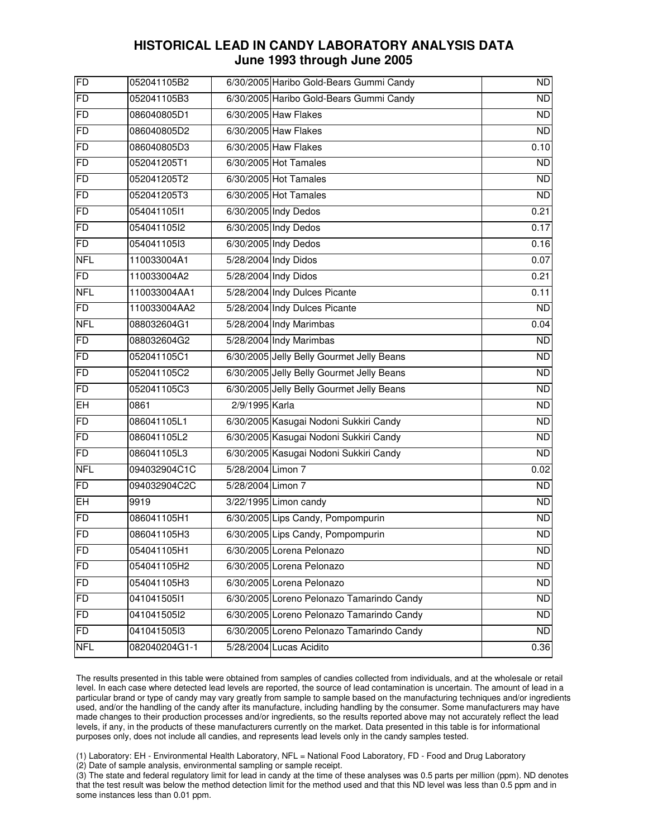| FD             | 052041105B2   |                   | 6/30/2005 Haribo Gold-Bears Gummi Candy   | ND              |
|----------------|---------------|-------------------|-------------------------------------------|-----------------|
| FD             | 052041105B3   |                   | 6/30/2005 Haribo Gold-Bears Gummi Candy   | $\overline{ND}$ |
| FD             | 086040805D1   |                   | 6/30/2005 Haw Flakes                      | <b>ND</b>       |
| FD             | 086040805D2   |                   | 6/30/2005 Haw Flakes                      | $\overline{ND}$ |
| FD             | 086040805D3   |                   | 6/30/2005 Haw Flakes                      | 0.10            |
| FD             | 052041205T1   |                   | 6/30/2005 Hot Tamales                     | $\overline{ND}$ |
| FD             | 052041205T2   |                   | 6/30/2005 Hot Tamales                     | <b>ND</b>       |
| FD             | 052041205T3   |                   | 6/30/2005 Hot Tamales                     | $\overline{ND}$ |
| FD             | 054041105l1   |                   | 6/30/2005 Indy Dedos                      | 0.21            |
| FD             | 054041105l2   |                   | 6/30/2005 Indy Dedos                      | 0.17            |
| FD             | 054041105l3   |                   | 6/30/2005 Indy Dedos                      | 0.16            |
| <b>NFL</b>     | 110033004A1   |                   | 5/28/2004 Indy Didos                      | 0.07            |
| FD             | 110033004A2   |                   | 5/28/2004 Indy Didos                      | 0.21            |
| <b>NFL</b>     | 110033004AA1  |                   | 5/28/2004 Indy Dulces Picante             | 0.11            |
| FD             | 110033004AA2  |                   | 5/28/2004 Indy Dulces Picante             | <b>ND</b>       |
| <b>NFL</b>     | 088032604G1   |                   | 5/28/2004 Indy Marimbas                   | 0.04            |
| FD             | 088032604G2   |                   | 5/28/2004 Indy Marimbas                   | ND              |
| FD             | 052041105C1   |                   | 6/30/2005 Jelly Belly Gourmet Jelly Beans | <b>ND</b>       |
| FD             | 052041105C2   |                   | 6/30/2005 Jelly Belly Gourmet Jelly Beans | <b>ND</b>       |
| FD             | 052041105C3   |                   | 6/30/2005 Jelly Belly Gourmet Jelly Beans | <b>ND</b>       |
| EH             | 0861          | 2/9/1995 Karla    |                                           | <b>ND</b>       |
| F <sub>D</sub> | 086041105L1   |                   | 6/30/2005 Kasugai Nodoni Sukkiri Candy    | ND              |
| FD             | 086041105L2   |                   | 6/30/2005 Kasugai Nodoni Sukkiri Candy    | <b>ND</b>       |
| <b>FD</b>      | 086041105L3   |                   | 6/30/2005 Kasugai Nodoni Sukkiri Candy    | <b>ND</b>       |
| <b>NFL</b>     | 094032904C1C  | 5/28/2004 Limon 7 |                                           | 0.02            |
| FD             | 094032904C2C  | 5/28/2004 Limon 7 |                                           | ND              |
| EH             | 9919          |                   | 3/22/1995 Limon candy                     | <b>ND</b>       |
| FD             | 086041105H1   |                   | 6/30/2005 Lips Candy, Pompompurin         | <b>ND</b>       |
| FD             | 086041105H3   |                   | 6/30/2005 Lips Candy, Pompompurin         | <b>ND</b>       |
| FD             | 054041105H1   |                   | 6/30/2005 Lorena Pelonazo                 | <b>ND</b>       |
| <b>FD</b>      | 054041105H2   |                   | 6/30/2005 Lorena Pelonazo                 | <b>ND</b>       |
| <b>FD</b>      | 054041105H3   |                   | 6/30/2005 Lorena Pelonazo                 | <b>ND</b>       |
| <b>FD</b>      | 041041505l1   |                   | 6/30/2005 Loreno Pelonazo Tamarindo Candy | <b>ND</b>       |
| FD             | 041041505l2   |                   | 6/30/2005 Loreno Pelonazo Tamarindo Candy | <b>ND</b>       |
| FD             | 041041505l3   |                   | 6/30/2005 Loreno Pelonazo Tamarindo Candy | <b>ND</b>       |
| <b>NFL</b>     | 082040204G1-1 |                   | 5/28/2004 Lucas Acidito                   | 0.36            |

 The results presented in this table were obtained from samples of candies collected from individuals, and at the wholesale or retail level. In each case where detected lead levels are reported, the source of lead contamination is uncertain. The amount of lead in a particular brand or type of candy may vary greatly from sample to sample based on the manufacturing techniques and/or ingredients used, and/or the handling of the candy after its manufacture, including handling by the consumer. Some manufacturers may have made changes to their production processes and/or ingredients, so the results reported above may not accurately reflect the lead levels, if any, in the products of these manufacturers currently on the market. Data presented in this table is for informational purposes only, does not include all candies, and represents lead levels only in the candy samples tested.

(1) Laboratory: EH - Environmental Health Laboratory, NFL = National Food Laboratory, FD - Food and Drug Laboratory

(2) Date of sample analysis, environmental sampling or sample receipt.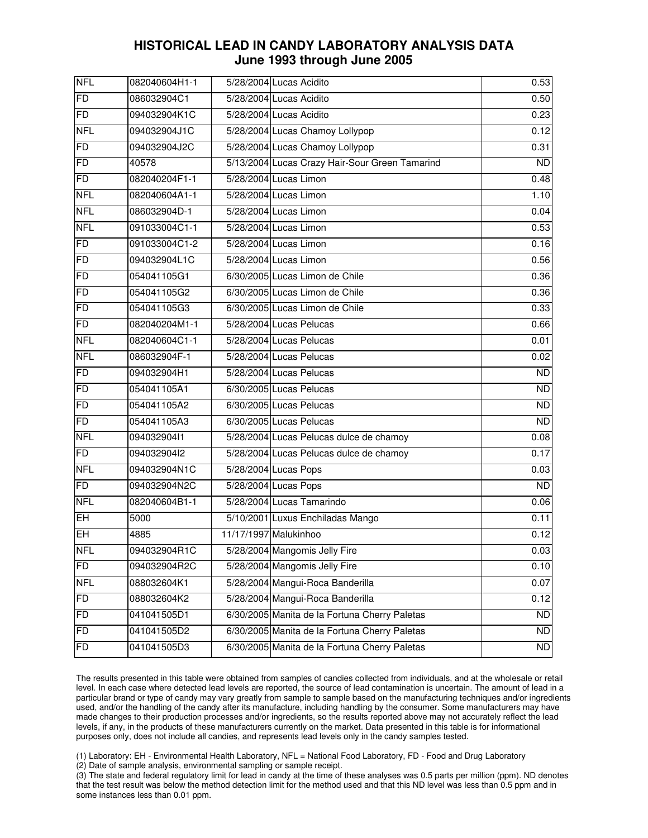| <b>NFL</b> | 082040604H1-1 | 5/28/2004 Lucas Acidito                        | 0.53              |
|------------|---------------|------------------------------------------------|-------------------|
| FD         | 086032904C1   | 5/28/2004 Lucas Acidito                        | 0.50              |
| FD         | 094032904K1C  | 5/28/2004 Lucas Acidito                        | 0.23              |
| <b>NFL</b> | 094032904J1C  | 5/28/2004 Lucas Chamoy Lollypop                | 0.12              |
| FD         | 094032904J2C  | 5/28/2004 Lucas Chamoy Lollypop                | 0.31              |
| FD         | 40578         | 5/13/2004 Lucas Crazy Hair-Sour Green Tamarind | <b>ND</b>         |
| FD         | 082040204F1-1 | 5/28/2004 Lucas Limon                          | 0.48              |
| <b>NFL</b> | 082040604A1-1 | 5/28/2004 Lucas Limon                          | 1.10              |
| <b>NFL</b> | 086032904D-1  | 5/28/2004 Lucas Limon                          | 0.04              |
| <b>NFL</b> | 091033004C1-1 | 5/28/2004 Lucas Limon                          | 0.53              |
| FD         | 091033004C1-2 | 5/28/2004 Lucas Limon                          | 0.16              |
| FD         | 094032904L1C  | 5/28/2004 Lucas Limon                          | 0.56              |
| FD         | 054041105G1   | 6/30/2005 Lucas Limon de Chile                 | $\overline{0.36}$ |
| FD         | 054041105G2   | 6/30/2005 Lucas Limon de Chile                 | $\overline{0.36}$ |
| FD         | 054041105G3   | 6/30/2005 Lucas Limon de Chile                 | $\overline{0.33}$ |
| FD         | 082040204M1-1 | 5/28/2004 Lucas Pelucas                        | 0.66              |
| <b>NFL</b> | 082040604C1-1 | 5/28/2004 Lucas Pelucas                        | 0.01              |
| <b>NFL</b> | 086032904F-1  | 5/28/2004 Lucas Pelucas                        | 0.02              |
| FD         | 094032904H1   | 5/28/2004 Lucas Pelucas                        | <b>ND</b>         |
| <b>FD</b>  | 054041105A1   | 6/30/2005 Lucas Pelucas                        | <b>ND</b>         |
| <b>FD</b>  | 054041105A2   | 6/30/2005 Lucas Pelucas                        | <b>ND</b>         |
| FD         | 054041105A3   | 6/30/2005 Lucas Pelucas                        | ND                |
| <b>NFL</b> | 094032904l1   | 5/28/2004 Lucas Pelucas dulce de chamoy        | 0.08              |
| FD         | 094032904l2   | 5/28/2004 Lucas Pelucas dulce de chamoy        | 0.17              |
| <b>NFL</b> | 094032904N1C  | 5/28/2004 Lucas Pops                           | 0.03              |
| <b>FD</b>  | 094032904N2C  | 5/28/2004 Lucas Pops                           | ND                |
| <b>NFL</b> | 082040604B1-1 | 5/28/2004 Lucas Tamarindo                      | 0.06              |
| EH         | 5000          | 5/10/2001 Luxus Enchiladas Mango               | 0.11              |
| EH         | 4885          | 11/17/1997 Malukinhoo                          | 0.12              |
| <b>NFL</b> | 094032904R1C  | 5/28/2004 Mangomis Jelly Fire                  | 0.03              |
| FD         | 094032904R2C  | 5/28/2004 Mangomis Jelly Fire                  | 0.10              |
| <b>NFL</b> | 088032604K1   | 5/28/2004 Mangui-Roca Banderilla               | $\overline{0.07}$ |
| <b>FD</b>  | 088032604K2   | 5/28/2004 Mangui-Roca Banderilla               | 0.12              |
| FD         | 041041505D1   | 6/30/2005 Manita de la Fortuna Cherry Paletas  | <b>ND</b>         |
| <b>FD</b>  | 041041505D2   | 6/30/2005 Manita de la Fortuna Cherry Paletas  | <b>ND</b>         |
| <b>FD</b>  | 041041505D3   | 6/30/2005 Manita de la Fortuna Cherry Paletas  | ND                |

 The results presented in this table were obtained from samples of candies collected from individuals, and at the wholesale or retail level. In each case where detected lead levels are reported, the source of lead contamination is uncertain. The amount of lead in a particular brand or type of candy may vary greatly from sample to sample based on the manufacturing techniques and/or ingredients used, and/or the handling of the candy after its manufacture, including handling by the consumer. Some manufacturers may have made changes to their production processes and/or ingredients, so the results reported above may not accurately reflect the lead levels, if any, in the products of these manufacturers currently on the market. Data presented in this table is for informational purposes only, does not include all candies, and represents lead levels only in the candy samples tested.

(1) Laboratory: EH - Environmental Health Laboratory, NFL = National Food Laboratory, FD - Food and Drug Laboratory

(2) Date of sample analysis, environmental sampling or sample receipt.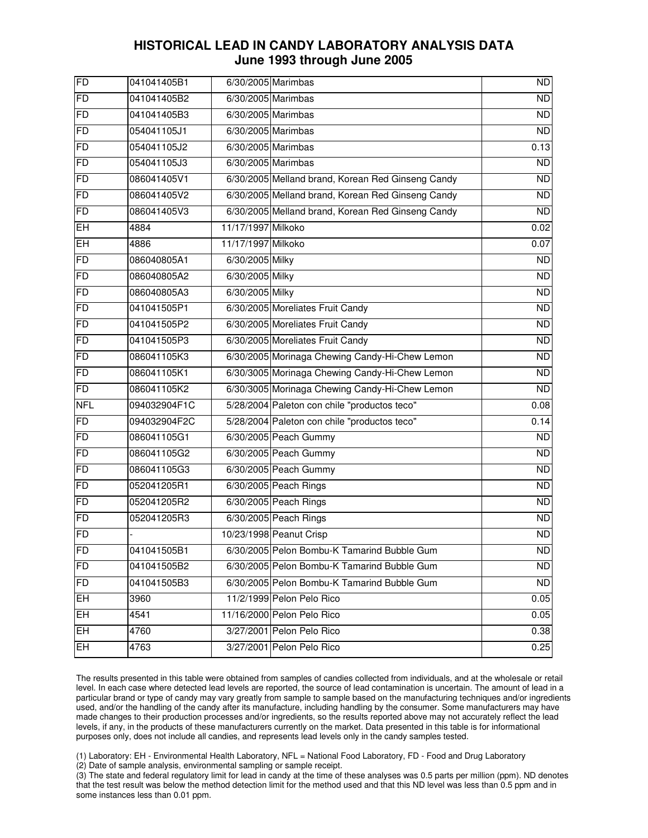| FD             | 041041405B1  |                    | 6/30/2005 Marimbas                                | $\overline{ND}$ |
|----------------|--------------|--------------------|---------------------------------------------------|-----------------|
| <b>FD</b>      | 041041405B2  |                    | 6/30/2005 Marimbas                                | $\overline{ND}$ |
| <b>FD</b>      | 041041405B3  |                    | 6/30/2005 Marimbas                                | <b>ND</b>       |
| FD             | 054041105J1  |                    | 6/30/2005 Marimbas                                | ND              |
| <b>FD</b>      | 054041105J2  |                    | 6/30/2005 Marimbas                                | 0.13            |
| <b>FD</b>      | 054041105J3  |                    | 6/30/2005 Marimbas                                | $\overline{ND}$ |
| FD             | 086041405V1  |                    | 6/30/2005 Melland brand, Korean Red Ginseng Candy | <b>ND</b>       |
| <b>FD</b>      | 086041405V2  |                    | 6/30/2005 Melland brand, Korean Red Ginseng Candy | $\overline{ND}$ |
| <b>FD</b>      | 086041405V3  |                    | 6/30/2005 Melland brand, Korean Red Ginseng Candy | <b>ND</b>       |
| EH             | 4884         | 11/17/1997 Milkoko |                                                   | 0.02            |
| EH             | 4886         | 11/17/1997 Milkoko |                                                   | 0.07            |
| <b>FD</b>      | 086040805A1  | 6/30/2005 Milky    |                                                   | <b>ND</b>       |
| FD             | 086040805A2  | 6/30/2005 Milky    |                                                   | $\overline{ND}$ |
| <b>FD</b>      | 086040805A3  | 6/30/2005 Milky    |                                                   | <b>ND</b>       |
| <b>FD</b>      | 041041505P1  |                    | 6/30/2005 Moreliates Fruit Candy                  | <b>ND</b>       |
| <b>FD</b>      | 041041505P2  |                    | 6/30/2005 Moreliates Fruit Candy                  | <b>ND</b>       |
| FD             | 041041505P3  |                    | 6/30/2005 Moreliates Fruit Candy                  | <b>ND</b>       |
| <b>FD</b>      | 086041105K3  |                    | 6/30/2005 Morinaga Chewing Candy-Hi-Chew Lemon    | <b>ND</b>       |
| <b>FD</b>      | 086041105K1  |                    | 6/30/3005 Morinaga Chewing Candy-Hi-Chew Lemon    | ND              |
| <b>FD</b>      | 086041105K2  |                    | 6/30/3005 Morinaga Chewing Candy-Hi-Chew Lemon    | <b>ND</b>       |
| <b>NFL</b>     | 094032904F1C |                    | 5/28/2004 Paleton con chile "productos teco"      | 0.08            |
| F <sub>D</sub> | 094032904F2C |                    | 5/28/2004 Paleton con chile "productos teco"      | 0.14            |
| <b>FD</b>      | 086041105G1  |                    | 6/30/2005 Peach Gummy                             | <b>ND</b>       |
| <b>FD</b>      | 086041105G2  |                    | 6/30/2005 Peach Gummy                             | <b>ND</b>       |
| FD             | 086041105G3  |                    | 6/30/2005 Peach Gummy                             | <b>ND</b>       |
| <b>FD</b>      | 052041205R1  |                    | 6/30/2005 Peach Rings                             | <b>ND</b>       |
| <b>FD</b>      | 052041205R2  |                    | 6/30/2005 Peach Rings                             | <b>ND</b>       |
| FD             | 052041205R3  |                    | 6/30/2005 Peach Rings                             | <b>ND</b>       |
| FD             |              |                    | 10/23/1998 Peanut Crisp                           | $\overline{ND}$ |
| <b>FD</b>      | 041041505B1  |                    | 6/30/2005 Pelon Bombu-K Tamarind Bubble Gum       | ND              |
| <b>FD</b>      | 041041505B2  |                    | 6/30/2005 Pelon Bombu-K Tamarind Bubble Gum       | <b>ND</b>       |
| FD             | 041041505B3  |                    | 6/30/2005 Pelon Bombu-K Tamarind Bubble Gum       | <b>ND</b>       |
| EH             | 3960         |                    | 11/2/1999 Pelon Pelo Rico                         | 0.05            |
| $E$ H          | 4541         |                    | 11/16/2000 Pelon Pelo Rico                        | 0.05            |
| EH.            | 4760         |                    | 3/27/2001 Pelon Pelo Rico                         | 0.38            |
| EH.            | 4763         |                    | 3/27/2001 Pelon Pelo Rico                         | 0.25            |
|                |              |                    |                                                   |                 |

 The results presented in this table were obtained from samples of candies collected from individuals, and at the wholesale or retail level. In each case where detected lead levels are reported, the source of lead contamination is uncertain. The amount of lead in a particular brand or type of candy may vary greatly from sample to sample based on the manufacturing techniques and/or ingredients used, and/or the handling of the candy after its manufacture, including handling by the consumer. Some manufacturers may have made changes to their production processes and/or ingredients, so the results reported above may not accurately reflect the lead levels, if any, in the products of these manufacturers currently on the market. Data presented in this table is for informational purposes only, does not include all candies, and represents lead levels only in the candy samples tested.

(1) Laboratory: EH - Environmental Health Laboratory, NFL = National Food Laboratory, FD - Food and Drug Laboratory

(2) Date of sample analysis, environmental sampling or sample receipt.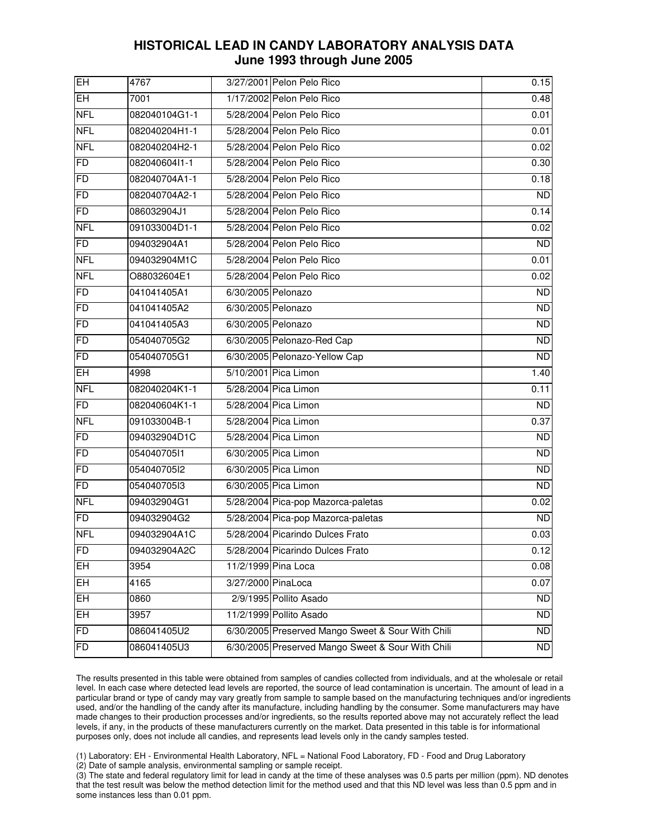| $\overline{\mathsf{H}}$ | 4767          |                    | 3/27/2001 Pelon Pelo Rico                         | 0.15           |
|-------------------------|---------------|--------------------|---------------------------------------------------|----------------|
| EH                      | 7001          |                    | 1/17/2002 Pelon Pelo Rico                         | 0.48           |
| <b>NFL</b>              | 082040104G1-1 |                    | 5/28/2004 Pelon Pelo Rico                         | 0.01           |
| <b>NFL</b>              | 082040204H1-1 |                    | 5/28/2004 Pelon Pelo Rico                         | 0.01           |
| <b>NFL</b>              | 082040204H2-1 |                    | 5/28/2004 Pelon Pelo Rico                         | 0.02           |
| <b>FD</b>               | 082040604l1-1 |                    | 5/28/2004 Pelon Pelo Rico                         | 0.30           |
| FD                      | 082040704A1-1 |                    | 5/28/2004 Pelon Pelo Rico                         | 0.18           |
| <b>FD</b>               | 082040704A2-1 |                    | 5/28/2004 Pelon Pelo Rico                         | <b>ND</b>      |
| <b>FD</b>               | 086032904J1   |                    | 5/28/2004 Pelon Pelo Rico                         | 0.14           |
| <b>NFL</b>              | 091033004D1-1 |                    | 5/28/2004 Pelon Pelo Rico                         | 0.02           |
| <b>FD</b>               | 094032904A1   |                    | 5/28/2004 Pelon Pelo Rico                         | <b>ND</b>      |
| <b>NFL</b>              | 094032904M1C  |                    | 5/28/2004 Pelon Pelo Rico                         | 0.01           |
| <b>NFL</b>              | O88032604E1   |                    | 5/28/2004 Pelon Pelo Rico                         | 0.02           |
| <b>FD</b>               | 041041405A1   | 6/30/2005 Pelonazo |                                                   | <b>ND</b>      |
| <b>FD</b>               | 041041405A2   | 6/30/2005 Pelonazo |                                                   | <b>ND</b>      |
| <b>FD</b>               | 041041405A3   | 6/30/2005 Pelonazo |                                                   | <b>ND</b>      |
| FD                      | 054040705G2   |                    | 6/30/2005 Pelonazo-Red Cap                        | <b>ND</b>      |
| FD                      | 054040705G1   |                    | 6/30/2005 Pelonazo-Yellow Cap                     | <b>ND</b>      |
| EH                      | 4998          |                    | 5/10/2001 Pica Limon                              | 1.40           |
| <b>NFL</b>              | 082040204K1-1 |                    | 5/28/2004 Pica Limon                              | 0.11           |
| FD                      | 082040604K1-1 |                    | 5/28/2004 Pica Limon                              | N <sub>D</sub> |
| <b>NFL</b>              | 091033004B-1  |                    | 5/28/2004 Pica Limon                              | 0.37           |
| <b>FD</b>               | 094032904D1C  |                    | 5/28/2004 Pica Limon                              | <b>ND</b>      |
| FD                      | 054040705l1   |                    | 6/30/2005 Pica Limon                              | <b>ND</b>      |
| FD                      | 054040705l2   |                    | 6/30/2005 Pica Limon                              | <b>ND</b>      |
| F <sub>D</sub>          | 054040705l3   |                    | 6/30/2005 Pica Limon                              | <b>ND</b>      |
| <b>NFL</b>              | 094032904G1   |                    | 5/28/2004 Pica-pop Mazorca-paletas                | 0.02           |
| FD                      | 094032904G2   |                    | 5/28/2004 Pica-pop Mazorca-paletas                | ND             |
| <b>NFL</b>              | 094032904A1C  |                    | 5/28/2004 Picarindo Dulces Frato                  | 0.03           |
| <b>FD</b>               | 094032904A2C  |                    | 5/28/2004 Picarindo Dulces Frato                  | 0.12           |
| EH                      | 3954          |                    | 11/2/1999 Pina Loca                               | 0.08           |
| EH                      | 4165          | 3/27/2000 PinaLoca |                                                   | 0.07           |
| EH.                     | 0860          |                    | 2/9/1995 Pollito Asado                            | <b>ND</b>      |
| EH                      | 3957          |                    | 11/2/1999 Pollito Asado                           | <b>ND</b>      |
| <b>FD</b>               | 086041405U2   |                    | 6/30/2005 Preserved Mango Sweet & Sour With Chili | <b>ND</b>      |
| <b>FD</b>               | 086041405U3   |                    | 6/30/2005 Preserved Mango Sweet & Sour With Chili | <b>ND</b>      |

 The results presented in this table were obtained from samples of candies collected from individuals, and at the wholesale or retail level. In each case where detected lead levels are reported, the source of lead contamination is uncertain. The amount of lead in a particular brand or type of candy may vary greatly from sample to sample based on the manufacturing techniques and/or ingredients used, and/or the handling of the candy after its manufacture, including handling by the consumer. Some manufacturers may have made changes to their production processes and/or ingredients, so the results reported above may not accurately reflect the lead levels, if any, in the products of these manufacturers currently on the market. Data presented in this table is for informational purposes only, does not include all candies, and represents lead levels only in the candy samples tested.

(1) Laboratory: EH - Environmental Health Laboratory, NFL = National Food Laboratory, FD - Food and Drug Laboratory

(2) Date of sample analysis, environmental sampling or sample receipt.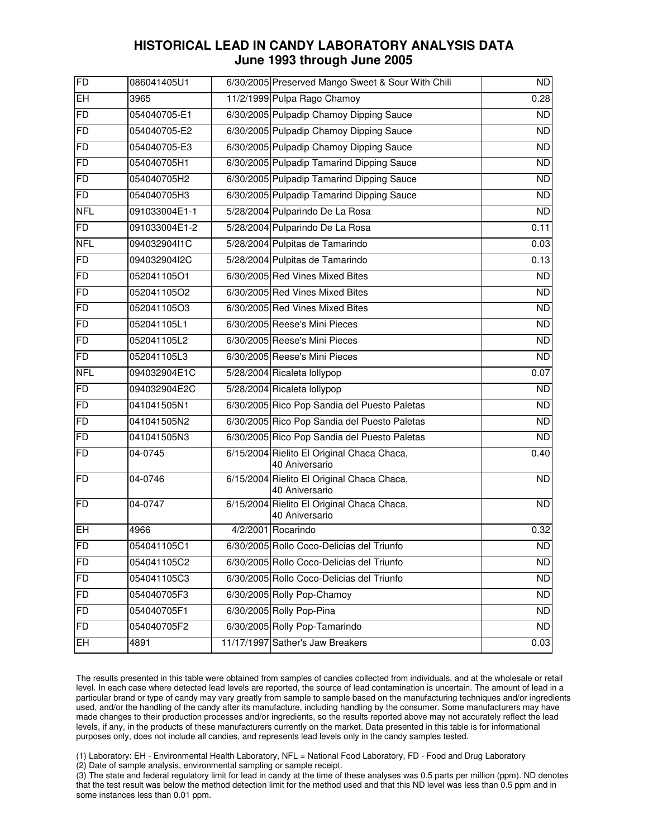| FD         | 086041405U1   | 6/30/2005 Preserved Mango Sweet & Sour With Chili            | <b>ND</b>       |
|------------|---------------|--------------------------------------------------------------|-----------------|
| EH         | 3965          | 11/2/1999 Pulpa Rago Chamoy                                  | 0.28            |
| FD         | 054040705-E1  | 6/30/2005 Pulpadip Chamoy Dipping Sauce                      | <b>ND</b>       |
| FD         | 054040705-E2  | 6/30/2005 Pulpadip Chamoy Dipping Sauce                      | <b>ND</b>       |
| FD         | 054040705-E3  | 6/30/2005 Pulpadip Chamoy Dipping Sauce                      | $\overline{ND}$ |
| FD         | 054040705H1   | 6/30/2005 Pulpadip Tamarind Dipping Sauce                    | <b>ND</b>       |
| FD         | 054040705H2   | 6/30/2005 Pulpadip Tamarind Dipping Sauce                    | $\overline{ND}$ |
| FD         | 054040705H3   | 6/30/2005 Pulpadip Tamarind Dipping Sauce                    | <b>ND</b>       |
| <b>NFL</b> | 091033004E1-1 | 5/28/2004 Pulparindo De La Rosa                              | <b>ND</b>       |
| FD         | 091033004E1-2 | 5/28/2004 Pulparindo De La Rosa                              | 0.11            |
| <b>NFL</b> | 094032904I1C  | 5/28/2004 Pulpitas de Tamarindo                              | 0.03            |
| FD         | 094032904I2C  | 5/28/2004 Pulpitas de Tamarindo                              | 0.13            |
| FD         | 052041105O1   | 6/30/2005 Red Vines Mixed Bites                              | <b>ND</b>       |
| FD         | 052041105O2   | 6/30/2005 Red Vines Mixed Bites                              | ND              |
| FD         | 052041105O3   | 6/30/2005 Red Vines Mixed Bites                              | <b>ND</b>       |
| FD         | 052041105L1   | 6/30/2005 Reese's Mini Pieces                                | <b>ND</b>       |
| FD         | 052041105L2   | 6/30/2005 Reese's Mini Pieces                                | <b>ND</b>       |
| FD         | 052041105L3   | 6/30/2005 Reese's Mini Pieces                                | ND              |
| <b>NFL</b> | 094032904E1C  | 5/28/2004 Ricaleta lollypop                                  | 0.07            |
| FD         | 094032904E2C  | 5/28/2004 Ricaleta lollypop                                  | ND              |
| FD         | 041041505N1   | 6/30/2005 Rico Pop Sandia del Puesto Paletas                 | <b>ND</b>       |
| FD         | 041041505N2   | 6/30/2005 Rico Pop Sandia del Puesto Paletas                 | ND              |
| FD         | 041041505N3   | 6/30/2005 Rico Pop Sandia del Puesto Paletas                 | <b>ND</b>       |
| FD         | 04-0745       | 6/15/2004 Rielito El Original Chaca Chaca,<br>40 Aniversario | 0.40            |
| <b>FD</b>  | 04-0746       | 6/15/2004 Rielito El Original Chaca Chaca,<br>40 Aniversario | <b>ND</b>       |
| FD         | 04-0747       | 6/15/2004 Rielito El Original Chaca Chaca,<br>40 Aniversario | <b>ND</b>       |
| EH         | 4966          | 4/2/2001 Rocarindo                                           | 0.32            |
| FD         | 054041105C1   | 6/30/2005 Rollo Coco-Delicias del Triunfo                    | <b>ND</b>       |
| FD         | 054041105C2   | 6/30/2005 Rollo Coco-Delicias del Triunfo                    | <b>ND</b>       |
| FD         | 054041105C3   | 6/30/2005 Rollo Coco-Delicias del Triunfo                    | $\overline{ND}$ |
| <b>FD</b>  | 054040705F3   | 6/30/2005 Rolly Pop-Chamoy                                   | <b>ND</b>       |
| FD         | 054040705F1   | 6/30/2005 Rolly Pop-Pina                                     | $\overline{ND}$ |
| FD         | 054040705F2   | 6/30/2005 Rolly Pop-Tamarindo                                | <b>ND</b>       |
| EH.        | 4891          | 11/17/1997 Sather's Jaw Breakers                             | 0.03            |
|            |               |                                                              |                 |

 The results presented in this table were obtained from samples of candies collected from individuals, and at the wholesale or retail level. In each case where detected lead levels are reported, the source of lead contamination is uncertain. The amount of lead in a particular brand or type of candy may vary greatly from sample to sample based on the manufacturing techniques and/or ingredients used, and/or the handling of the candy after its manufacture, including handling by the consumer. Some manufacturers may have made changes to their production processes and/or ingredients, so the results reported above may not accurately reflect the lead levels, if any, in the products of these manufacturers currently on the market. Data presented in this table is for informational purposes only, does not include all candies, and represents lead levels only in the candy samples tested.

(1) Laboratory: EH - Environmental Health Laboratory, NFL = National Food Laboratory, FD - Food and Drug Laboratory

(2) Date of sample analysis, environmental sampling or sample receipt.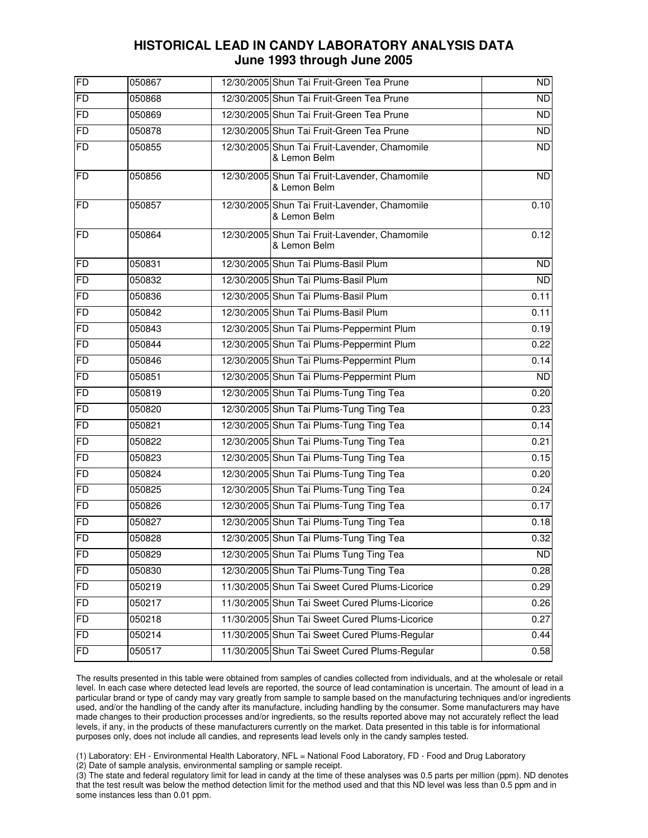| <b>FD</b>      | 050867 | 12/30/2005 Shun Tai Fruit-Green Tea Prune                     | ND              |
|----------------|--------|---------------------------------------------------------------|-----------------|
| F <sub>D</sub> | 050868 | 12/30/2005 Shun Tai Fruit-Green Tea Prune                     | $\overline{ND}$ |
| <b>FD</b>      | 050869 | 12/30/2005 Shun Tai Fruit-Green Tea Prune                     | <b>ND</b>       |
| <b>FD</b>      | 050878 | 12/30/2005 Shun Tai Fruit-Green Tea Prune                     | ND              |
| FD             | 050855 | 12/30/2005 Shun Tai Fruit-Lavender, Chamomile<br>& Lemon Belm | $\overline{ND}$ |
| <b>FD</b>      | 050856 | 12/30/2005 Shun Tai Fruit-Lavender, Chamomile<br>& Lemon Belm | <b>ND</b>       |
| <b>FD</b>      | 050857 | 12/30/2005 Shun Tai Fruit-Lavender, Chamomile<br>& Lemon Belm | 0.10            |
| FD             | 050864 | 12/30/2005 Shun Tai Fruit-Lavender, Chamomile<br>& Lemon Belm | 0.12            |
| <b>FD</b>      | 050831 | 12/30/2005 Shun Tai Plums-Basil Plum                          | $\overline{ND}$ |
| FD             | 050832 | 12/30/2005 Shun Tai Plums-Basil Plum                          | <b>ND</b>       |
| F <sub>D</sub> | 050836 | 12/30/2005 Shun Tai Plums-Basil Plum                          | 0.11            |
| <b>FD</b>      | 050842 | 12/30/2005 Shun Tai Plums-Basil Plum                          | 0.11            |
| <b>FD</b>      | 050843 | 12/30/2005 Shun Tai Plums-Peppermint Plum                     | 0.19            |
| F <sub>D</sub> | 050844 | 12/30/2005 Shun Tai Plums-Peppermint Plum                     | 0.22            |
| FD             | 050846 | 12/30/2005 Shun Tai Plums-Peppermint Plum                     | 0.14            |
| FD             | 050851 | 12/30/2005 Shun Tai Plums-Peppermint Plum                     | <b>ND</b>       |
| <b>FD</b>      | 050819 | 12/30/2005 Shun Tai Plums-Tung Ting Tea                       | 0.20            |
| <b>FD</b>      | 050820 | 12/30/2005 Shun Tai Plums-Tung Ting Tea                       | 0.23            |
| FD             | 050821 | 12/30/2005 Shun Tai Plums-Tung Ting Tea                       | 0.14            |
| F <sub>D</sub> | 050822 | 12/30/2005 Shun Tai Plums-Tung Ting Tea                       | 0.21            |
| <b>FD</b>      | 050823 | 12/30/2005 Shun Tai Plums-Tung Ting Tea                       | 0.15            |
| <b>FD</b>      | 050824 | 12/30/2005 Shun Tai Plums-Tung Ting Tea                       | 0.20            |
| F <sub>D</sub> | 050825 | 12/30/2005 Shun Tai Plums-Tung Ting Tea                       | 0.24            |
| FD             | 050826 | 12/30/2005 Shun Tai Plums-Tung Ting Tea                       | 0.17            |
| <b>FD</b>      | 050827 | 12/30/2005 Shun Tai Plums-Tung Ting Tea                       | 0.18            |
| <b>FD</b>      | 050828 | 12/30/2005 Shun Tai Plums-Tung Ting Tea                       | 0.32            |
| <b>FD</b>      | 050829 | 12/30/2005 Shun Tai Plums Tung Ting Tea                       | <b>ND</b>       |
| FD             | 050830 | 12/30/2005 Shun Tai Plums-Tung Ting Tea                       | 0.28            |
| F <sub>D</sub> | 050219 | 11/30/2005 Shun Tai Sweet Cured Plums-Licorice                | 0.29            |
| <b>FD</b>      | 050217 | 11/30/2005 Shun Tai Sweet Cured Plums-Licorice                | 0.26            |
| FD             | 050218 | 11/30/2005 Shun Tai Sweet Cured Plums-Licorice                | 0.27            |
| FD             | 050214 | 11/30/2005 Shun Tai Sweet Cured Plums-Regular                 | 0.44            |
| FD             | 050517 | 11/30/2005 Shun Tai Sweet Cured Plums-Regular                 | 0.58            |

 The results presented in this table were obtained from samples of candies collected from individuals, and at the wholesale or retail level. In each case where detected lead levels are reported, the source of lead contamination is uncertain. The amount of lead in a particular brand or type of candy may vary greatly from sample to sample based on the manufacturing techniques and/or ingredients used, and/or the handling of the candy after its manufacture, including handling by the consumer. Some manufacturers may have made changes to their production processes and/or ingredients, so the results reported above may not accurately reflect the lead levels, if any, in the products of these manufacturers currently on the market. Data presented in this table is for informational purposes only, does not include all candies, and represents lead levels only in the candy samples tested.

(1) Laboratory: EH - Environmental Health Laboratory, NFL = National Food Laboratory, FD - Food and Drug Laboratory

(2) Date of sample analysis, environmental sampling or sample receipt.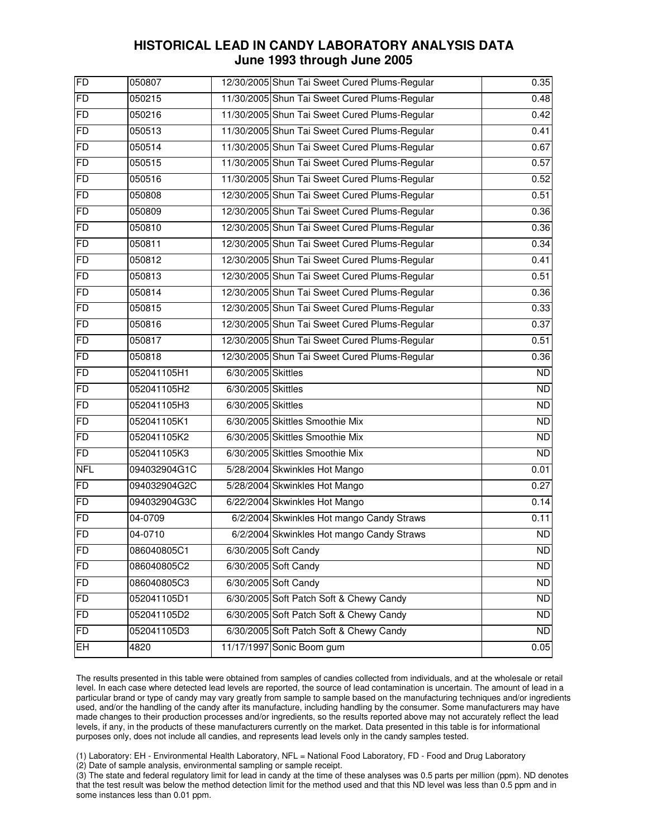| FD         | 050807       |                    | 12/30/2005 Shun Tai Sweet Cured Plums-Regular | $\overline{0.35}$ |
|------------|--------------|--------------------|-----------------------------------------------|-------------------|
| <b>FD</b>  | 050215       |                    | 11/30/2005 Shun Tai Sweet Cured Plums-Regular | 0.48              |
| FD         | 050216       |                    | 11/30/2005 Shun Tai Sweet Cured Plums-Regular | 0.42              |
| FD         | 050513       |                    | 11/30/2005 Shun Tai Sweet Cured Plums-Regular | 0.41              |
| <b>FD</b>  | 050514       |                    | 11/30/2005 Shun Tai Sweet Cured Plums-Regular | 0.67              |
| <b>FD</b>  | 050515       |                    | 11/30/2005 Shun Tai Sweet Cured Plums-Regular | 0.57              |
| <b>FD</b>  | 050516       |                    | 11/30/2005 Shun Tai Sweet Cured Plums-Regular | 0.52              |
| <b>FD</b>  | 050808       |                    | 12/30/2005 Shun Tai Sweet Cured Plums-Regular | 0.51              |
| FD         | 050809       |                    | 12/30/2005 Shun Tai Sweet Cured Plums-Regular | 0.36              |
| FD         | 050810       |                    | 12/30/2005 Shun Tai Sweet Cured Plums-Regular | 0.36              |
| <b>FD</b>  | 050811       |                    | 12/30/2005 Shun Tai Sweet Cured Plums-Regular | 0.34              |
| <b>FD</b>  | 050812       |                    | 12/30/2005 Shun Tai Sweet Cured Plums-Regular | 0.41              |
| FD         | 050813       |                    | 12/30/2005 Shun Tai Sweet Cured Plums-Regular | 0.51              |
| <b>FD</b>  | 050814       |                    | 12/30/2005 Shun Tai Sweet Cured Plums-Regular | 0.36              |
| FD         | 050815       |                    | 12/30/2005 Shun Tai Sweet Cured Plums-Regular | 0.33              |
| <b>FD</b>  | 050816       |                    | 12/30/2005 Shun Tai Sweet Cured Plums-Regular | 0.37              |
| <b>FD</b>  | 050817       |                    | 12/30/2005 Shun Tai Sweet Cured Plums-Regular | 0.51              |
| <b>FD</b>  | 050818       |                    | 12/30/2005 Shun Tai Sweet Cured Plums-Regular | 0.36              |
| <b>FD</b>  | 052041105H1  | 6/30/2005 Skittles |                                               | ND                |
| <b>FD</b>  | 052041105H2  | 6/30/2005 Skittles |                                               | $\overline{ND}$   |
| FD         | 052041105H3  | 6/30/2005 Skittles |                                               | <b>ND</b>         |
| <b>FD</b>  | 052041105K1  |                    | 6/30/2005 Skittles Smoothie Mix               | <b>ND</b>         |
| <b>FD</b>  | 052041105K2  |                    | 6/30/2005 Skittles Smoothie Mix               | $\overline{ND}$   |
| <b>FD</b>  | 052041105K3  |                    | 6/30/2005 Skittles Smoothie Mix               | <b>ND</b>         |
| <b>NFL</b> | 094032904G1C |                    | 5/28/2004 Skwinkles Hot Mango                 | 0.01              |
| FD         | 094032904G2C |                    | 5/28/2004 Skwinkles Hot Mango                 | 0.27              |
| FD         | 094032904G3C |                    | 6/22/2004 Skwinkles Hot Mango                 | 0.14              |
| FD         | 04-0709      |                    | 6/2/2004 Skwinkles Hot mango Candy Straws     | 0.11              |
| <b>FD</b>  | 04-0710      |                    | 6/2/2004 Skwinkles Hot mango Candy Straws     | $\overline{ND}$   |
| <b>FD</b>  | 086040805C1  |                    | 6/30/2005 Soft Candy                          | ND                |
| <b>FD</b>  | 086040805C2  |                    | 6/30/2005 Soft Candy                          | $\overline{ND}$   |
| <b>FD</b>  | 086040805C3  |                    | 6/30/2005 Soft Candy                          | <b>ND</b>         |
| <b>FD</b>  | 052041105D1  |                    | 6/30/2005 Soft Patch Soft & Chewy Candy       | <b>ND</b>         |
| <b>FD</b>  | 052041105D2  |                    | 6/30/2005 Soft Patch Soft & Chewy Candy       | <b>ND</b>         |
| <b>FD</b>  | 052041105D3  |                    | 6/30/2005 Soft Patch Soft & Chewy Candy       | <b>ND</b>         |
| EH         | 4820         |                    | 11/17/1997 Sonic Boom gum                     | 0.05              |

 The results presented in this table were obtained from samples of candies collected from individuals, and at the wholesale or retail level. In each case where detected lead levels are reported, the source of lead contamination is uncertain. The amount of lead in a particular brand or type of candy may vary greatly from sample to sample based on the manufacturing techniques and/or ingredients used, and/or the handling of the candy after its manufacture, including handling by the consumer. Some manufacturers may have made changes to their production processes and/or ingredients, so the results reported above may not accurately reflect the lead levels, if any, in the products of these manufacturers currently on the market. Data presented in this table is for informational purposes only, does not include all candies, and represents lead levels only in the candy samples tested.

(1) Laboratory: EH - Environmental Health Laboratory, NFL = National Food Laboratory, FD - Food and Drug Laboratory

(2) Date of sample analysis, environmental sampling or sample receipt.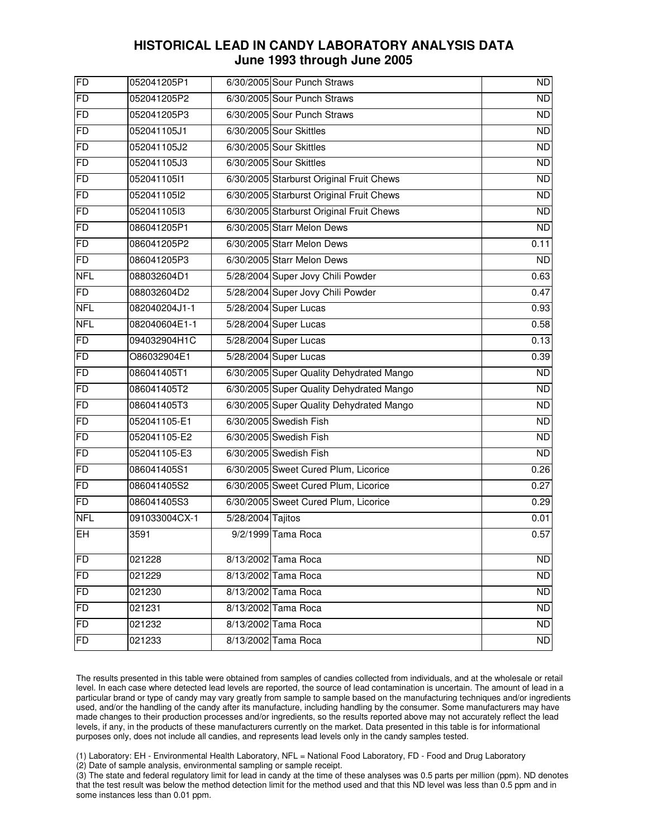| FD         | 052041205P1   |                   | 6/30/2005 Sour Punch Straws              | <b>ND</b>       |
|------------|---------------|-------------------|------------------------------------------|-----------------|
| FD         | 052041205P2   |                   | 6/30/2005 Sour Punch Straws              | $\overline{ND}$ |
| FD         | 052041205P3   |                   | 6/30/2005 Sour Punch Straws              | <b>ND</b>       |
| FD         | 052041105J1   |                   | 6/30/2005 Sour Skittles                  | $\overline{ND}$ |
| <b>FD</b>  | 052041105J2   |                   | 6/30/2005 Sour Skittles                  | <b>ND</b>       |
| <b>FD</b>  | 052041105J3   |                   | 6/30/2005 Sour Skittles                  | $\overline{ND}$ |
| FD         | 052041105l1   |                   | 6/30/2005 Starburst Original Fruit Chews | <b>ND</b>       |
| FD         | 052041105l2   |                   | 6/30/2005 Starburst Original Fruit Chews | $\overline{ND}$ |
| <b>FD</b>  | 052041105l3   |                   | 6/30/2005 Starburst Original Fruit Chews | <b>ND</b>       |
| FD         | 086041205P1   |                   | 6/30/2005 Starr Melon Dews               | $\overline{ND}$ |
| <b>FD</b>  | 086041205P2   |                   | 6/30/2005 Starr Melon Dews               | 0.11            |
| FD         | 086041205P3   |                   | 6/30/2005 Starr Melon Dews               | <b>ND</b>       |
| <b>NFL</b> | 088032604D1   |                   | 5/28/2004 Super Jovy Chili Powder        | 0.63            |
| FD         | 088032604D2   |                   | 5/28/2004 Super Jovy Chili Powder        | 0.47            |
| <b>NFL</b> | 082040204J1-1 |                   | 5/28/2004 Super Lucas                    | 0.93            |
| <b>NFL</b> | 082040604E1-1 |                   | 5/28/2004 Super Lucas                    | 0.58            |
| FD         | 094032904H1C  |                   | 5/28/2004 Super Lucas                    | 0.13            |
| <b>FD</b>  | O86032904E1   |                   | 5/28/2004 Super Lucas                    | 0.39            |
| FD         | 086041405T1   |                   | 6/30/2005 Super Quality Dehydrated Mango | ND              |
| <b>FD</b>  | 086041405T2   |                   | 6/30/2005 Super Quality Dehydrated Mango | <b>ND</b>       |
| <b>FD</b>  | 086041405T3   |                   | 6/30/2005 Super Quality Dehydrated Mango | <b>ND</b>       |
| FD         | 052041105-E1  |                   | 6/30/2005 Swedish Fish                   | <b>ND</b>       |
| <b>FD</b>  | 052041105-E2  |                   | 6/30/2005 Swedish Fish                   | <b>ND</b>       |
| <b>FD</b>  | 052041105-E3  |                   | 6/30/2005 Swedish Fish                   | <b>ND</b>       |
| FD         | 086041405S1   |                   | 6/30/2005 Sweet Cured Plum, Licorice     | 0.26            |
| FD         | 086041405S2   |                   | 6/30/2005 Sweet Cured Plum, Licorice     | 0.27            |
| FD         | 086041405S3   |                   | 6/30/2005 Sweet Cured Plum, Licorice     | 0.29            |
| <b>NFL</b> | 091033004CX-1 | 5/28/2004 Tajitos |                                          | 0.01            |
| EH         | 3591          |                   | 9/2/1999 Tama Roca                       | 0.57            |
| <b>FD</b>  | 021228        |                   | 8/13/2002 Tama Roca                      | <b>ND</b>       |
| <b>FD</b>  | 021229        |                   | 8/13/2002 Tama Roca                      | <b>ND</b>       |
| <b>FD</b>  | 021230        |                   | 8/13/2002 Tama Roca                      | <b>ND</b>       |
| FD         | 021231        |                   | 8/13/2002 Tama Roca                      | <b>ND</b>       |
| <b>FD</b>  | 021232        |                   | 8/13/2002 Tama Roca                      | <b>ND</b>       |
| FD         | 021233        |                   | 8/13/2002 Tama Roca                      | <b>ND</b>       |

 The results presented in this table were obtained from samples of candies collected from individuals, and at the wholesale or retail level. In each case where detected lead levels are reported, the source of lead contamination is uncertain. The amount of lead in a particular brand or type of candy may vary greatly from sample to sample based on the manufacturing techniques and/or ingredients used, and/or the handling of the candy after its manufacture, including handling by the consumer. Some manufacturers may have made changes to their production processes and/or ingredients, so the results reported above may not accurately reflect the lead levels, if any, in the products of these manufacturers currently on the market. Data presented in this table is for informational purposes only, does not include all candies, and represents lead levels only in the candy samples tested.

(1) Laboratory: EH - Environmental Health Laboratory, NFL = National Food Laboratory, FD - Food and Drug Laboratory

(2) Date of sample analysis, environmental sampling or sample receipt.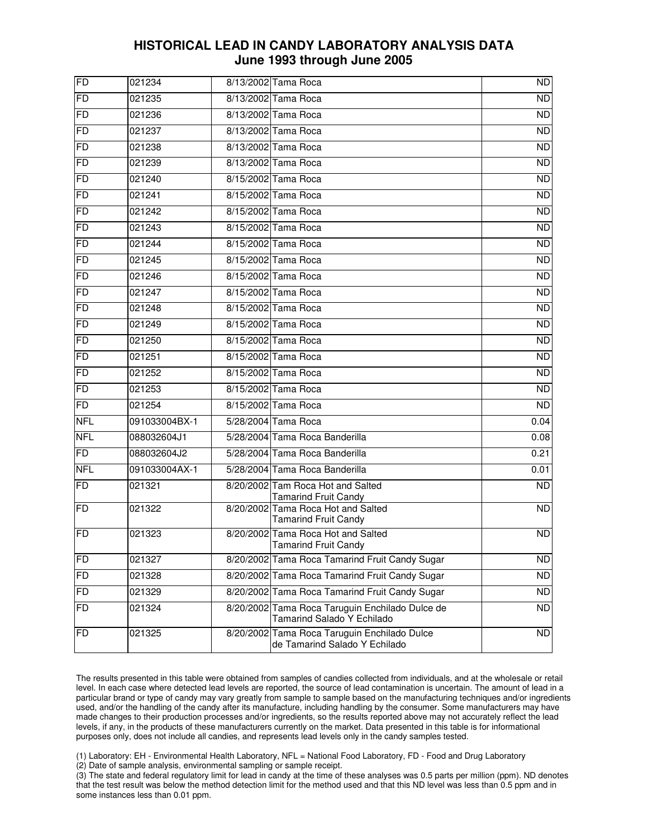| FD         | 021234        | 8/13/2002 Tama Roca                                                           | ND              |
|------------|---------------|-------------------------------------------------------------------------------|-----------------|
| FD         | 021235        | 8/13/2002 Tama Roca                                                           | ND              |
| FD         | 021236        | 8/13/2002 Tama Roca                                                           | <b>ND</b>       |
| <b>FD</b>  | 021237        | 8/13/2002 Tama Roca                                                           | $\overline{ND}$ |
| FD         | 021238        | 8/13/2002 Tama Roca                                                           | <b>ND</b>       |
| FD         | 021239        | 8/13/2002 Tama Roca                                                           | $\overline{ND}$ |
| <b>FD</b>  | 021240        | 8/15/2002 Tama Roca                                                           | <b>ND</b>       |
| FD         | 021241        | 8/15/2002 Tama Roca                                                           | <b>ND</b>       |
| <b>FD</b>  | 021242        | 8/15/2002 Tama Roca                                                           | <b>ND</b>       |
| <b>FD</b>  | 021243        | 8/15/2002 Tama Roca                                                           | <b>ND</b>       |
| FD         | 021244        | 8/15/2002 Tama Roca                                                           | $\overline{ND}$ |
| FD         | 021245        | 8/15/2002 Tama Roca                                                           | <b>ND</b>       |
| <b>FD</b>  | 021246        | 8/15/2002 Tama Roca                                                           | <b>ND</b>       |
| FD         | 021247        | 8/15/2002 Tama Roca                                                           | <b>ND</b>       |
| <b>FD</b>  | 021248        | 8/15/2002 Tama Roca                                                           | <b>ND</b>       |
| <b>FD</b>  | 021249        | 8/15/2002 Tama Roca                                                           | <b>ND</b>       |
| FD         | 021250        | 8/15/2002 Tama Roca                                                           | $\overline{ND}$ |
| FD         | 021251        | 8/15/2002 Tama Roca                                                           | <b>ND</b>       |
| <b>FD</b>  | 021252        | 8/15/2002 Tama Roca                                                           | $\overline{ND}$ |
| FD         | 021253        | 8/15/2002 Tama Roca                                                           | <b>ND</b>       |
| <b>FD</b>  | 021254        | 8/15/2002 Tama Roca                                                           | <b>ND</b>       |
| <b>NFL</b> | 091033004BX-1 | 5/28/2004 Tama Roca                                                           | 0.04            |
| <b>NFL</b> | 088032604J1   | 5/28/2004 Tama Roca Banderilla                                                | 0.08            |
| <b>FD</b>  | 088032604J2   | 5/28/2004 Tama Roca Banderilla                                                | 0.21            |
| <b>NFL</b> | 091033004AX-1 | 5/28/2004 Tama Roca Banderilla                                                | 0.01            |
| <b>FD</b>  | 021321        | 8/20/2002 Tam Roca Hot and Salted<br><b>Tamarind Fruit Candy</b>              | <b>ND</b>       |
| <b>FD</b>  | 021322        | 8/20/2002 Tama Roca Hot and Salted<br><b>Tamarind Fruit Candy</b>             | <b>ND</b>       |
| <b>FD</b>  | 021323        | 8/20/2002 Tama Roca Hot and Salted<br><b>Tamarind Fruit Candy</b>             | ND.             |
| <b>FD</b>  | 021327        | 8/20/2002 Tama Roca Tamarind Fruit Candy Sugar                                | <b>ND</b>       |
| <b>FD</b>  | 021328        | 8/20/2002 Tama Roca Tamarind Fruit Candy Sugar                                | <b>ND</b>       |
| <b>FD</b>  | 021329        | 8/20/2002 Tama Roca Tamarind Fruit Candy Sugar                                | <b>ND</b>       |
| FD         | 021324        | 8/20/2002 Tama Roca Taruguin Enchilado Dulce de<br>Tamarind Salado Y Echilado | <b>ND</b>       |
| FD         | 021325        | 8/20/2002 Tama Roca Taruguin Enchilado Dulce<br>de Tamarind Salado Y Echilado | <b>ND</b>       |

 The results presented in this table were obtained from samples of candies collected from individuals, and at the wholesale or retail level. In each case where detected lead levels are reported, the source of lead contamination is uncertain. The amount of lead in a particular brand or type of candy may vary greatly from sample to sample based on the manufacturing techniques and/or ingredients used, and/or the handling of the candy after its manufacture, including handling by the consumer. Some manufacturers may have made changes to their production processes and/or ingredients, so the results reported above may not accurately reflect the lead levels, if any, in the products of these manufacturers currently on the market. Data presented in this table is for informational purposes only, does not include all candies, and represents lead levels only in the candy samples tested.

(1) Laboratory: EH - Environmental Health Laboratory, NFL = National Food Laboratory, FD - Food and Drug Laboratory

(2) Date of sample analysis, environmental sampling or sample receipt.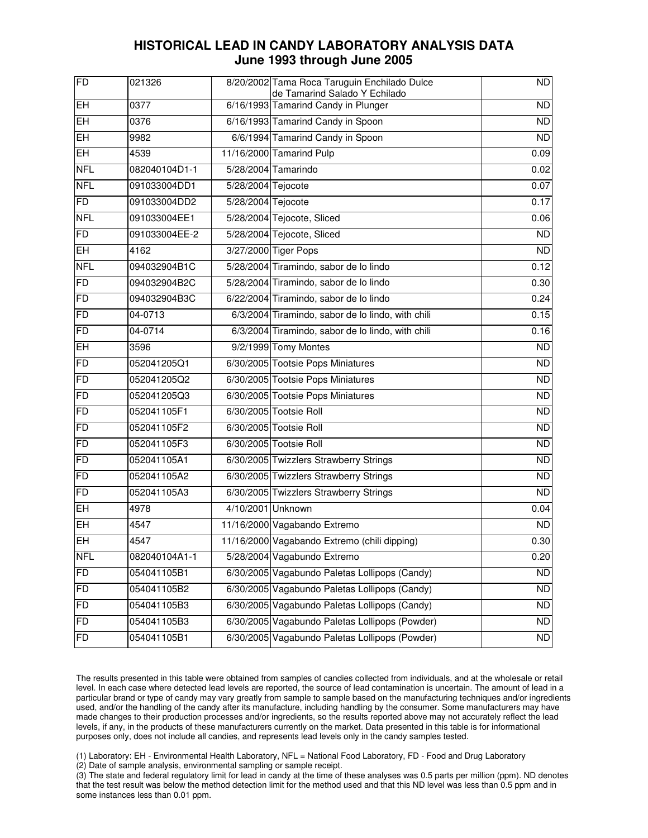| FD             | 021326        |                    | 8/20/2002 Tama Roca Taruguin Enchilado Dulce<br>de Tamarind Salado Y Echilado | ND                |
|----------------|---------------|--------------------|-------------------------------------------------------------------------------|-------------------|
| EH             | 0377          |                    | 6/16/1993 Tamarind Candy in Plunger                                           | <b>ND</b>         |
| EH             | 0376          |                    | 6/16/1993 Tamarind Candy in Spoon                                             | <b>ND</b>         |
| EH             | 9982          |                    | 6/6/1994 Tamarind Candy in Spoon                                              | $\overline{ND}$   |
| EH             | 4539          |                    | 11/16/2000 Tamarind Pulp                                                      | 0.09              |
| <b>NFL</b>     | 082040104D1-1 |                    | 5/28/2004 Tamarindo                                                           | 0.02              |
| <b>NFL</b>     | 091033004DD1  | 5/28/2004 Tejocote |                                                                               | 0.07              |
| FD             | 091033004DD2  | 5/28/2004 Tejocote |                                                                               | $\overline{0.17}$ |
| <b>NFL</b>     | 091033004EE1  |                    | 5/28/2004 Tejocote, Sliced                                                    | 0.06              |
| FD             | 091033004EE-2 |                    | 5/28/2004 Tejocote, Sliced                                                    | <b>ND</b>         |
| EH             | 4162          |                    | 3/27/2000 Tiger Pops                                                          | $\overline{ND}$   |
| <b>NFL</b>     | 094032904B1C  |                    | 5/28/2004 Tiramindo, sabor de lo lindo                                        | 0.12              |
| FD             | 094032904B2C  |                    | 5/28/2004 Tiramindo, sabor de lo lindo                                        | 0.30              |
| <b>FD</b>      | 094032904B3C  |                    | 6/22/2004 Tiramindo, sabor de lo lindo                                        | 0.24              |
| <b>FD</b>      | 04-0713       |                    | 6/3/2004 Tiramindo, sabor de lo lindo, with chili                             | 0.15              |
| <b>FD</b>      | 04-0714       |                    | 6/3/2004 Tiramindo, sabor de lo lindo, with chili                             | 0.16              |
| <b>EH</b>      | 3596          |                    | 9/2/1999 Tomy Montes                                                          | <b>ND</b>         |
| <b>FD</b>      | 052041205Q1   |                    | 6/30/2005 Tootsie Pops Miniatures                                             | <b>ND</b>         |
| FD             | 052041205Q2   |                    | 6/30/2005 Tootsie Pops Miniatures                                             | <b>ND</b>         |
| <b>FD</b>      | 052041205Q3   |                    | 6/30/2005 Tootsie Pops Miniatures                                             | <b>ND</b>         |
| <b>FD</b>      | 052041105F1   |                    | 6/30/2005 Tootsie Roll                                                        | <b>ND</b>         |
| <b>FD</b>      | 052041105F2   |                    | 6/30/2005 Tootsie Roll                                                        | <b>ND</b>         |
| <b>FD</b>      | 052041105F3   |                    | 6/30/2005 Tootsie Roll                                                        | <b>ND</b>         |
| <b>FD</b>      | 052041105A1   |                    | 6/30/2005 Twizzlers Strawberry Strings                                        | <b>ND</b>         |
| <b>FD</b>      | 052041105A2   |                    | 6/30/2005 Twizzlers Strawberry Strings                                        | <b>ND</b>         |
| <b>FD</b>      | 052041105A3   |                    | 6/30/2005 Twizzlers Strawberry Strings                                        | <b>ND</b>         |
| EH             | 4978          | 4/10/2001 Unknown  |                                                                               | 0.04              |
| EH             | 4547          |                    | 11/16/2000 Vagabando Extremo                                                  | <b>ND</b>         |
| EH             | 4547          |                    | 11/16/2000 Vagabando Extremo (chili dipping)                                  | 0.30              |
| <b>NFL</b>     | 082040104A1-1 |                    | 5/28/2004 Vagabundo Extremo                                                   | 0.20              |
| FD             | 054041105B1   |                    | 6/30/2005 Vagabundo Paletas Lollipops (Candy)                                 | <b>ND</b>         |
| FD             | 054041105B2   |                    | 6/30/2005 Vagabundo Paletas Lollipops (Candy)                                 | <b>ND</b>         |
| F <sub>D</sub> | 054041105B3   |                    | 6/30/2005 Vagabundo Paletas Lollipops (Candy)                                 | <b>ND</b>         |
| <b>FD</b>      | 054041105B3   |                    | 6/30/2005 Vagabundo Paletas Lollipops (Powder)                                | <b>ND</b>         |
| FD             | 054041105B1   |                    | 6/30/2005 Vagabundo Paletas Lollipops (Powder)                                | <b>ND</b>         |

 The results presented in this table were obtained from samples of candies collected from individuals, and at the wholesale or retail level. In each case where detected lead levels are reported, the source of lead contamination is uncertain. The amount of lead in a particular brand or type of candy may vary greatly from sample to sample based on the manufacturing techniques and/or ingredients used, and/or the handling of the candy after its manufacture, including handling by the consumer. Some manufacturers may have made changes to their production processes and/or ingredients, so the results reported above may not accurately reflect the lead levels, if any, in the products of these manufacturers currently on the market. Data presented in this table is for informational purposes only, does not include all candies, and represents lead levels only in the candy samples tested.

(1) Laboratory: EH - Environmental Health Laboratory, NFL = National Food Laboratory, FD - Food and Drug Laboratory

(2) Date of sample analysis, environmental sampling or sample receipt.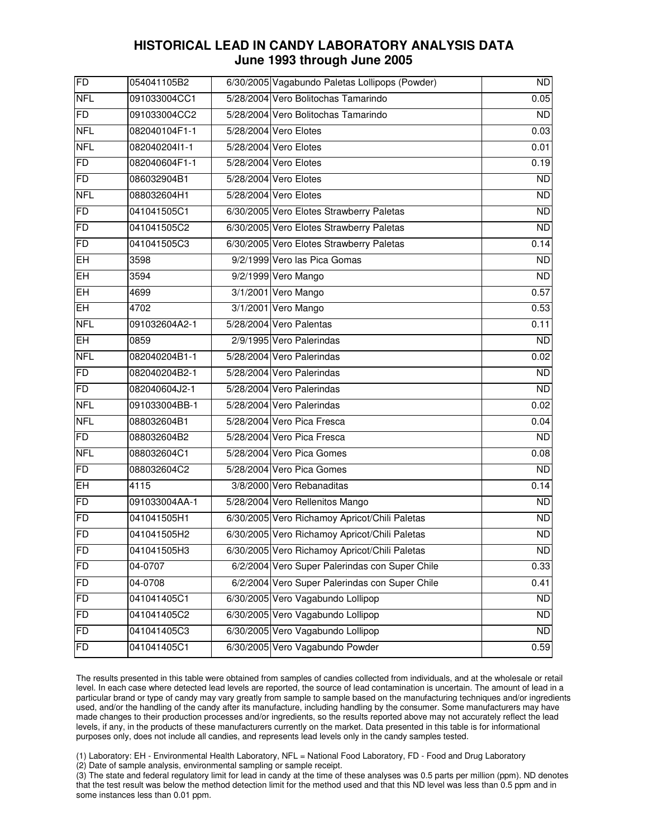| FD         | 054041105B2   | 6/30/2005 Vagabundo Paletas Lollipops (Powder) | ND              |
|------------|---------------|------------------------------------------------|-----------------|
| <b>NFL</b> | 091033004CC1  | 5/28/2004 Vero Bolitochas Tamarindo            | 0.05            |
| FD         | 091033004CC2  | 5/28/2004 Vero Bolitochas Tamarindo            | <b>ND</b>       |
| <b>NFL</b> | 082040104F1-1 | 5/28/2004 Vero Elotes                          | 0.03            |
| <b>NFL</b> | 082040204l1-1 | 5/28/2004 Vero Elotes                          | 0.01            |
| FD         | 082040604F1-1 | 5/28/2004 Vero Elotes                          | 0.19            |
| <b>FD</b>  | 086032904B1   | 5/28/2004 Vero Elotes                          | <b>ND</b>       |
| <b>NFL</b> | 088032604H1   | 5/28/2004 Vero Elotes                          | $\overline{ND}$ |
| <b>FD</b>  | 041041505C1   | 6/30/2005 Vero Elotes Strawberry Paletas       | <b>ND</b>       |
| <b>FD</b>  | 041041505C2   | 6/30/2005 Vero Elotes Strawberry Paletas       | $\overline{ND}$ |
| <b>FD</b>  | 041041505C3   | 6/30/2005 Vero Elotes Strawberry Paletas       | 0.14            |
| EH         | 3598          | 9/2/1999 Vero las Pica Gomas                   | <b>ND</b>       |
| EH         | 3594          | 9/2/1999 Vero Mango                            | ND              |
| ĒĤ         | 4699          | 3/1/2001 Vero Mango                            | 0.57            |
| EH         | 4702          | 3/1/2001 Vero Mango                            | 0.53            |
| <b>NFL</b> | 091032604A2-1 | 5/28/2004 Vero Palentas                        | 0.11            |
| EH         | 0859          | 2/9/1995 Vero Palerindas                       | $\overline{ND}$ |
| <b>NFL</b> | 082040204B1-1 | 5/28/2004 Vero Palerindas                      | 0.02            |
| FD         | 082040204B2-1 | 5/28/2004 Vero Palerindas                      | <b>ND</b>       |
| FD         | 082040604J2-1 | 5/28/2004 Vero Palerindas                      | <b>ND</b>       |
| <b>NFL</b> | 091033004BB-1 | 5/28/2004 Vero Palerindas                      | 0.02            |
| <b>NFL</b> | 088032604B1   | 5/28/2004 Vero Pica Fresca                     | 0.04            |
| FD         | 088032604B2   | 5/28/2004 Vero Pica Fresca                     | <b>ND</b>       |
| <b>NFL</b> | 088032604C1   | 5/28/2004 Vero Pica Gomes                      | 0.08            |
| FD         | 088032604C2   | 5/28/2004 Vero Pica Gomes                      | <b>ND</b>       |
| <b>EH</b>  | 4115          | 3/8/2000 Vero Rebanaditas                      | 0.14            |
| <b>FD</b>  | 091033004AA-1 | 5/28/2004 Vero Rellenitos Mango                | ND.             |
| FD         | 041041505H1   | 6/30/2005 Vero Richamoy Apricot/Chili Paletas  | $\overline{ND}$ |
| FD         | 041041505H2   | 6/30/2005 Vero Richamoy Apricot/Chili Paletas  | $\overline{ND}$ |
| FD         | 041041505H3   | 6/30/2005 Vero Richamoy Apricot/Chili Paletas  | <b>ND</b>       |
| <b>FD</b>  | 04-0707       | 6/2/2004 Vero Super Palerindas con Super Chile | 0.33            |
| <b>FD</b>  | 04-0708       | 6/2/2004 Vero Super Palerindas con Super Chile | 0.41            |
| <b>FD</b>  | 041041405C1   | 6/30/2005 Vero Vagabundo Lollipop              | <b>ND</b>       |
| FD         | 041041405C2   | 6/30/2005 Vero Vagabundo Lollipop              | <b>ND</b>       |
| <b>FD</b>  | 041041405C3   | 6/30/2005 Vero Vagabundo Lollipop              | <b>ND</b>       |
| <b>FD</b>  | 041041405C1   | 6/30/2005 Vero Vagabundo Powder                | 0.59            |

 The results presented in this table were obtained from samples of candies collected from individuals, and at the wholesale or retail level. In each case where detected lead levels are reported, the source of lead contamination is uncertain. The amount of lead in a particular brand or type of candy may vary greatly from sample to sample based on the manufacturing techniques and/or ingredients used, and/or the handling of the candy after its manufacture, including handling by the consumer. Some manufacturers may have made changes to their production processes and/or ingredients, so the results reported above may not accurately reflect the lead levels, if any, in the products of these manufacturers currently on the market. Data presented in this table is for informational purposes only, does not include all candies, and represents lead levels only in the candy samples tested.

(1) Laboratory: EH - Environmental Health Laboratory, NFL = National Food Laboratory, FD - Food and Drug Laboratory

(2) Date of sample analysis, environmental sampling or sample receipt.